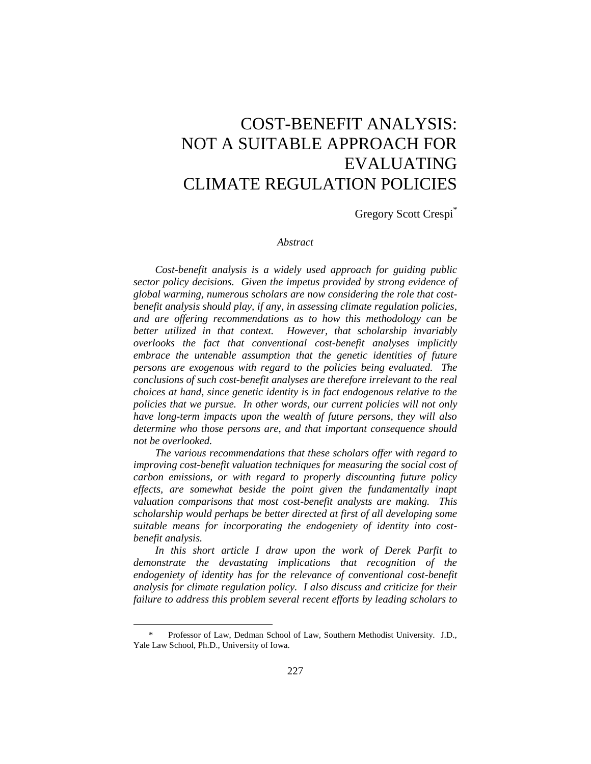# COST-BENEFIT ANALYSIS: NOT A SUITABLE APPROACH FOR EVALUATING CLIMATE REGULATION POLICIES

Gregory Scott Crespi\*

#### *Abstract*

*Cost-benefit analysis is a widely used approach for guiding public sector policy decisions. Given the impetus provided by strong evidence of global warming, numerous scholars are now considering the role that costbenefit analysis should play, if any, in assessing climate regulation policies, and are offering recommendations as to how this methodology can be better utilized in that context. However, that scholarship invariably overlooks the fact that conventional cost-benefit analyses implicitly embrace the untenable assumption that the genetic identities of future persons are exogenous with regard to the policies being evaluated. The conclusions of such cost-benefit analyses are therefore irrelevant to the real choices at hand, since genetic identity is in fact endogenous relative to the policies that we pursue. In other words, our current policies will not only have long-term impacts upon the wealth of future persons, they will also determine who those persons are, and that important consequence should not be overlooked.* 

*The various recommendations that these scholars offer with regard to improving cost-benefit valuation techniques for measuring the social cost of carbon emissions, or with regard to properly discounting future policy effects, are somewhat beside the point given the fundamentally inapt valuation comparisons that most cost-benefit analysts are making. This scholarship would perhaps be better directed at first of all developing some suitable means for incorporating the endogeniety of identity into costbenefit analysis.*

*In this short article I draw upon the work of Derek Parfit to demonstrate the devastating implications that recognition of the endogeniety of identity has for the relevance of conventional cost-benefit analysis for climate regulation policy. I also discuss and criticize for their failure to address this problem several recent efforts by leading scholars to* 

Professor of Law, Dedman School of Law, Southern Methodist University. J.D., Yale Law School, Ph.D., University of Iowa.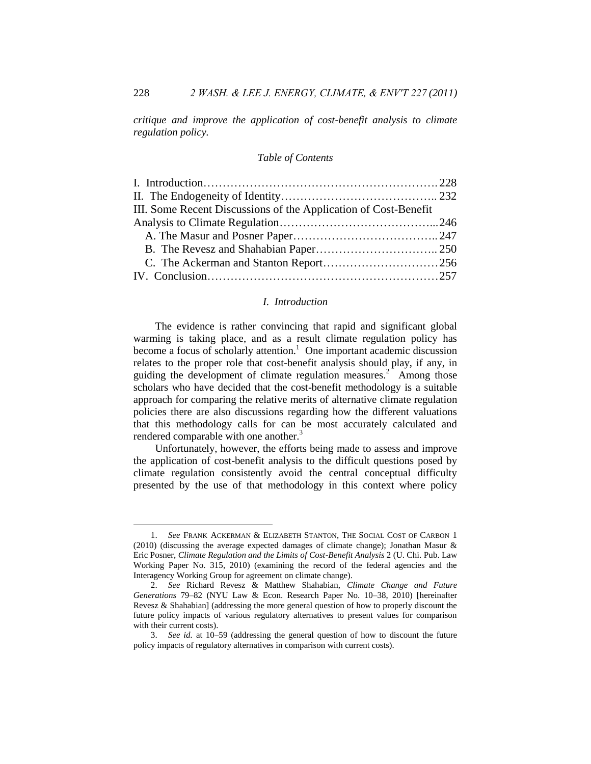*critique and improve the application of cost-benefit analysis to climate regulation policy.* 

### *Table of Contents*

| III. Some Recent Discussions of the Application of Cost-Benefit |  |
|-----------------------------------------------------------------|--|
|                                                                 |  |
|                                                                 |  |
|                                                                 |  |
|                                                                 |  |
|                                                                 |  |

## <span id="page-1-2"></span><span id="page-1-1"></span>*I. Introduction*

<span id="page-1-0"></span>The evidence is rather convincing that rapid and significant global warming is taking place, and as a result climate regulation policy has become a focus of scholarly attention.<sup>1</sup> One important academic discussion relates to the proper role that cost-benefit analysis should play, if any, in guiding the development of climate regulation measures.<sup>2</sup> Among those scholars who have decided that the cost-benefit methodology is a suitable approach for comparing the relative merits of alternative climate regulation policies there are also discussions regarding how the different valuations that this methodology calls for can be most accurately calculated and rendered comparable with one another.<sup>3</sup>

Unfortunately, however, the efforts being made to assess and improve the application of cost-benefit analysis to the difficult questions posed by climate regulation consistently avoid the central conceptual difficulty presented by the use of that methodology in this context where policy

<sup>1.</sup> *See* FRANK ACKERMAN & ELIZABETH STANTON, THE SOCIAL COST OF CARBON 1 (2010) (discussing the average expected damages of climate change); Jonathan Masur & Eric Posner, *Climate Regulation and the Limits of Cost-Benefit Analysis* 2 (U. Chi. Pub. Law Working Paper No. 315, 2010) (examining the record of the federal agencies and the Interagency Working Group for agreement on climate change).

<sup>2.</sup> *See* Richard Revesz & Matthew Shahabian, *Climate Change and Future Generations* 79–82 (NYU Law & Econ. Research Paper No. 10–38, 2010) [hereinafter Revesz & Shahabian] (addressing the more general question of how to properly discount the future policy impacts of various regulatory alternatives to present values for comparison with their current costs).

<sup>3.</sup> *See id.* at 10–59 (addressing the general question of how to discount the future policy impacts of regulatory alternatives in comparison with current costs).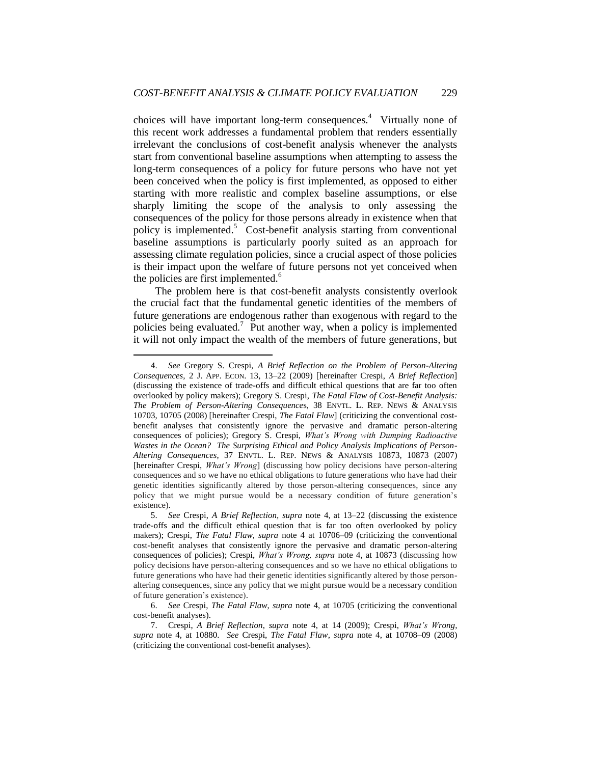<span id="page-2-0"></span>choices will have important long-term consequences.<sup>4</sup> Virtually none of this recent work addresses a fundamental problem that renders essentially irrelevant the conclusions of cost-benefit analysis whenever the analysts start from conventional baseline assumptions when attempting to assess the long-term consequences of a policy for future persons who have not yet been conceived when the policy is first implemented, as opposed to either starting with more realistic and complex baseline assumptions, or else sharply limiting the scope of the analysis to only assessing the consequences of the policy for those persons already in existence when that policy is implemented.<sup>5</sup> Cost-benefit analysis starting from conventional baseline assumptions is particularly poorly suited as an approach for assessing climate regulation policies, since a crucial aspect of those policies is their impact upon the welfare of future persons not yet conceived when the policies are first implemented.<sup>6</sup>

The problem here is that cost-benefit analysts consistently overlook the crucial fact that the fundamental genetic identities of the members of future generations are endogenous rather than exogenous with regard to the policies being evaluated.<sup>7</sup> Put another way, when a policy is implemented it will not only impact the wealth of the members of future generations, but

<sup>4.</sup> *See* Gregory S. Crespi, *A Brief Reflection on the Problem of Person-Altering Consequences*, 2 J. APP. ECON. 13, 13–22 (2009) [hereinafter Crespi, *A Brief Reflection*] (discussing the existence of trade-offs and difficult ethical questions that are far too often overlooked by policy makers); Gregory S. Crespi, *The Fatal Flaw of Cost-Benefit Analysis: The Problem of Person-Altering Consequence*s, 38 ENVTL. L. REP. NEWS & ANALYSIS 10703, 10705 (2008) [hereinafter Crespi, *The Fatal Flaw*] (criticizing the conventional costbenefit analyses that consistently ignore the pervasive and dramatic person-altering consequences of policies); Gregory S. Crespi, *What's Wrong with Dumping Radioactive Wastes in the Ocean? The Surprising Ethical and Policy Analysis Implications of Person-Altering Consequences*, 37 ENVTL. L. REP. NEWS & ANALYSIS 10873, 10873 (2007) [hereinafter Crespi, *What's Wrong*] (discussing how policy decisions have person-altering consequences and so we have no ethical obligations to future generations who have had their genetic identities significantly altered by those person-altering consequences, since any policy that we might pursue would be a necessary condition of future generation's existence).

<sup>5.</sup> *See* Crespi, *A Brief Reflection, supra* note [4,](#page-2-0) at 13–22 (discussing the existence trade-offs and the difficult ethical question that is far too often overlooked by policy makers); Crespi, *The Fatal Flaw, supra* note [4](#page-2-0) at 10706–09 (criticizing the conventional cost-benefit analyses that consistently ignore the pervasive and dramatic person-altering consequences of policies); Crespi, *What's Wrong, supra* note [4,](#page-2-0) at 10873 (discussing how policy decisions have person-altering consequences and so we have no ethical obligations to future generations who have had their genetic identities significantly altered by those personaltering consequences, since any policy that we might pursue would be a necessary condition of future generation's existence).

<sup>6.</sup> *See* Crespi, *The Fatal Flaw*, *supra* note [4,](#page-2-0) at 10705 (criticizing the conventional cost-benefit analyses).

<sup>7.</sup> Crespi, *A Brief Reflection*, *supra* note [4,](#page-2-0) at 14 (2009); Crespi, *What's Wrong, supra* note [4,](#page-2-0) at 10880. *See* Crespi, *The Fatal Flaw*, *supra* note [4,](#page-2-0) at 10708–09 (2008) (criticizing the conventional cost-benefit analyses).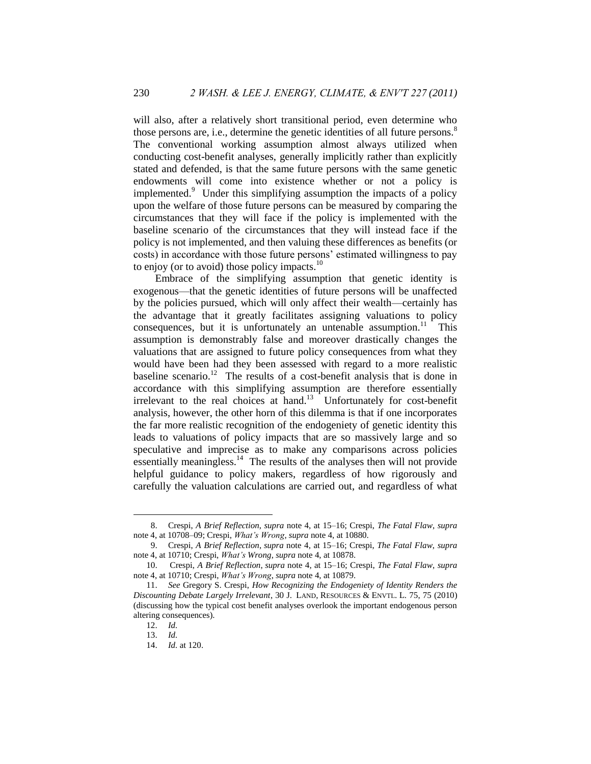will also, after a relatively short transitional period, even determine who those persons are, i.e., determine the genetic identities of all future persons.<sup>8</sup> The conventional working assumption almost always utilized when conducting cost-benefit analyses, generally implicitly rather than explicitly stated and defended, is that the same future persons with the same genetic endowments will come into existence whether or not a policy is implemented.<sup>9</sup> Under this simplifying assumption the impacts of a policy upon the welfare of those future persons can be measured by comparing the circumstances that they will face if the policy is implemented with the baseline scenario of the circumstances that they will instead face if the policy is not implemented, and then valuing these differences as benefits (or costs) in accordance with those future persons' estimated willingness to pay to enjoy (or to avoid) those policy impacts. $10$ 

<span id="page-3-0"></span>Embrace of the simplifying assumption that genetic identity is exogenous—that the genetic identities of future persons will be unaffected by the policies pursued, which will only affect their wealth—certainly has the advantage that it greatly facilitates assigning valuations to policy consequences, but it is unfortunately an untenable assumption.<sup>11</sup> This assumption is demonstrably false and moreover drastically changes the valuations that are assigned to future policy consequences from what they would have been had they been assessed with regard to a more realistic baseline scenario.<sup>12</sup> The results of a cost-benefit analysis that is done in accordance with this simplifying assumption are therefore essentially irrelevant to the real choices at hand.<sup>13</sup> Unfortunately for cost-benefit analysis, however, the other horn of this dilemma is that if one incorporates the far more realistic recognition of the endogeniety of genetic identity this leads to valuations of policy impacts that are so massively large and so speculative and imprecise as to make any comparisons across policies essentially meaningless.<sup>14</sup> The results of the analyses then will not provide helpful guidance to policy makers, regardless of how rigorously and carefully the valuation calculations are carried out, and regardless of what

<sup>8.</sup> Crespi, *A Brief Reflection*, *supra* note [4,](#page-2-0) at 15–16; Crespi, *The Fatal Flaw*, *supra* note [4,](#page-2-0) at 10708–09; Crespi, *What's Wrong*, *supra* not[e 4,](#page-2-0) at 10880.

<sup>9.</sup> Crespi, *A Brief Reflection*, *supra* note [4,](#page-2-0) at 15–16; Crespi, *The Fatal Flaw*, *supra* note [4,](#page-2-0) at 10710; Crespi, *What's Wrong*, *supra* not[e 4,](#page-2-0) at 10878.

<sup>10.</sup> Crespi, *A Brief Reflection*, *supra* note [4,](#page-2-0) at 15–16; Crespi, *The Fatal Flaw*, *supra* note [4,](#page-2-0) at 10710; Crespi, *What's Wrong*, *supra* not[e 4,](#page-2-0) at 10879.

<sup>11.</sup> *See* Gregory S. Crespi, *How Recognizing the Endogeniety of Identity Renders the Discounting Debate Largely Irrelevant*, 30 J. LAND, RESOURCES & ENVTL. L. 75, 75 (2010) (discussing how the typical cost benefit analyses overlook the important endogenous person altering consequences).

<sup>12.</sup> *Id.*

<sup>13.</sup> *Id.*

<sup>14.</sup> *Id.* at 120.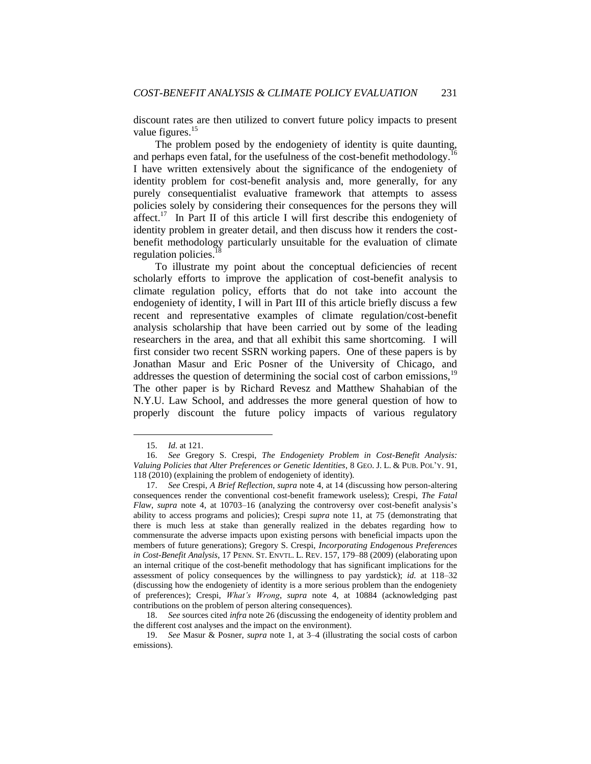discount rates are then utilized to convert future policy impacts to present value figures.<sup>15</sup>

The problem posed by the endogeniety of identity is quite daunting, and perhaps even fatal, for the usefulness of the cost-benefit methodology.<sup>16</sup> I have written extensively about the significance of the endogeniety of identity problem for cost-benefit analysis and, more generally, for any purely consequentialist evaluative framework that attempts to assess policies solely by considering their consequences for the persons they will  $a$ ffect.<sup>17</sup> In Part II of this article I will first describe this endogeniety of identity problem in greater detail, and then discuss how it renders the costbenefit methodology particularly unsuitable for the evaluation of climate regulation policies.<sup>18</sup>

To illustrate my point about the conceptual deficiencies of recent scholarly efforts to improve the application of cost-benefit analysis to climate regulation policy, efforts that do not take into account the endogeniety of identity, I will in Part III of this article briefly discuss a few recent and representative examples of climate regulation/cost-benefit analysis scholarship that have been carried out by some of the leading researchers in the area, and that all exhibit this same shortcoming. I will first consider two recent SSRN working papers. One of these papers is by Jonathan Masur and Eric Posner of the University of Chicago, and addresses the question of determining the social cost of carbon emissions, $19$ The other paper is by Richard Revesz and Matthew Shahabian of the N.Y.U. Law School, and addresses the more general question of how to properly discount the future policy impacts of various regulatory

 $\overline{a}$ 

18. *See* sources cited *infra* note 26 (discussing the endogeneity of identity problem and the different cost analyses and the impact on the environment).

<sup>15.</sup> *Id.* at 121.

<sup>16.</sup> *See* Gregory S. Crespi, *The Endogeniety Problem in Cost-Benefit Analysis: Valuing Policies that Alter Preferences or Genetic Identities*, 8 GEO. J. L. & PUB. POL'Y. 91, 118 (2010) (explaining the problem of endogeniety of identity).

<sup>17.</sup> *See* Crespi, *A Brief Reflection*, *supra* note [4,](#page-2-0) at 14 (discussing how person-altering consequences render the conventional cost-benefit framework useless); Crespi, *The Fatal Flaw*, *supra* note [4,](#page-2-0) at 10703–16 (analyzing the controversy over cost-benefit analysis's ability to access programs and policies); Crespi *supra* note [11,](#page-3-0) at 75 (demonstrating that there is much less at stake than generally realized in the debates regarding how to commensurate the adverse impacts upon existing persons with beneficial impacts upon the members of future generations); Gregory S. Crespi, *Incorporating Endogenous Preferences in Cost-Benefit Analysis*, 17 PENN. ST. ENVTL. L. REV. 157, 179–88 (2009) (elaborating upon an internal critique of the cost-benefit methodology that has significant implications for the assessment of policy consequences by the willingness to pay yardstick); *id.* at 118–32 (discussing how the endogeniety of identity is a more serious problem than the endogeniety of preferences); Crespi, *What's Wrong*, *supra* note [4,](#page-2-0) at 10884 (acknowledging past contributions on the problem of person altering consequences).

<sup>19.</sup> *See* Masur & Posner, *supra* note 1, at 3–4 (illustrating the social costs of carbon emissions).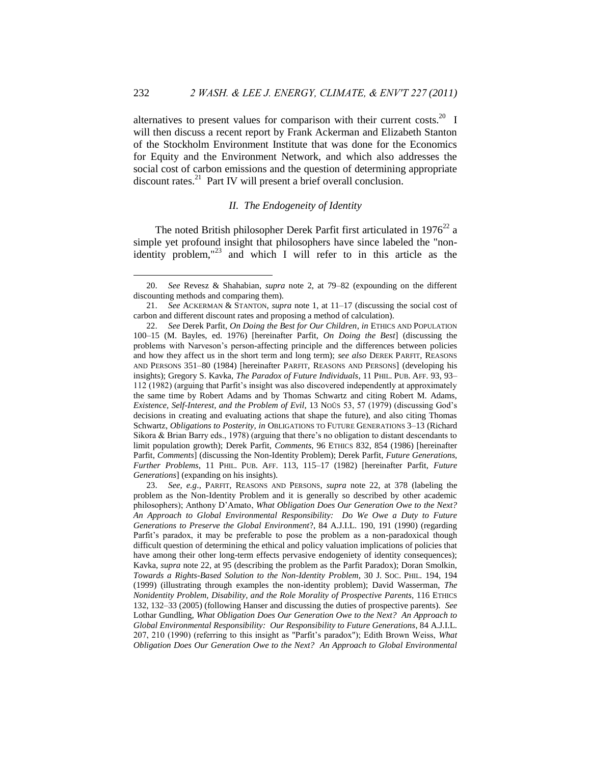alternatives to present values for comparison with their current costs.<sup>20</sup> I will then discuss a recent report by Frank Ackerman and Elizabeth Stanton of the Stockholm Environment Institute that was done for the Economics for Equity and the Environment Network, and which also addresses the social cost of carbon emissions and the question of determining appropriate discount rates.<sup>21</sup> Part IV will present a brief overall conclusion.

## <span id="page-5-2"></span><span id="page-5-1"></span>*II. The Endogeneity of Identity*

<span id="page-5-0"></span>The noted British philosopher Derek Parfit first articulated in  $1976^{22}$  a simple yet profound insight that philosophers have since labeled the "nonidentity problem," $^{23}$  and which I will refer to in this article as the

<sup>20.</sup> *See* Revesz & Shahabian, *supra* note 2, at 79–82 (expounding on the different discounting methods and comparing them).

<sup>21.</sup> *See* ACKERMAN & STANTON, *supra* note 1, at 11–17 (discussing the social cost of carbon and different discount rates and proposing a method of calculation).

<sup>22.</sup> *See* Derek Parfit, *On Doing the Best for Our Children*, *in* ETHICS AND POPULATION 100–15 (M. Bayles, ed. 1976) [hereinafter Parfit, *On Doing the Best*] (discussing the problems with Narveson's person-affecting principle and the differences between policies and how they affect us in the short term and long term); *see also* DEREK PARFIT, REASONS AND PERSONS 351–80 (1984) [hereinafter PARFIT, REASONS AND PERSONS] (developing his insights); Gregory S. Kavka, *The Paradox of Future Individuals*, 11 PHIL. PUB. AFF. 93, 93– 112 (1982) (arguing that Parfit's insight was also discovered independently at approximately the same time by Robert Adams and by Thomas Schwartz and citing Robert M. Adams, *Existence, Self-Interest, and the Problem of Evil*, 13 NOÛS 53, 57 (1979) (discussing God's decisions in creating and evaluating actions that shape the future), and also citing Thomas Schwartz, *Obligations to Posterity, in* OBLIGATIONS TO FUTURE GENERATIONS 3–13 (Richard Sikora & Brian Barry eds., 1978) (arguing that there's no obligation to distant descendants to limit population growth); Derek Parfit, *Comments*, 96 ETHICS 832, 854 (1986) [hereinafter Parfit, *Comments*] (discussing the Non-Identity Problem); Derek Parfit, *Future Generations, Further Problems*, 11 PHIL. PUB. AFF. 113, 115–17 (1982) [hereinafter Parfit, *Future Generations*] (expanding on his insights).

<sup>23.</sup> *See, e.g*., PARFIT, REASONS AND PERSONS, *supra* note 22, at 378 (labeling the problem as the Non-Identity Problem and it is generally so described by other academic philosophers); Anthony D'Amato, *What Obligation Does Our Generation Owe to the Next? An Approach to Global Environmental Responsibility: Do We Owe a Duty to Future Generations to Preserve the Global Environment*?, 84 A.J.I.L. 190, 191 (1990) (regarding Parfit's paradox, it may be preferable to pose the problem as a non-paradoxical though difficult question of determining the ethical and policy valuation implications of policies that have among their other long-term effects pervasive endogeniety of identity consequences); Kavka, *supra* note 22, at 95 (describing the problem as the Parfit Paradox); Doran Smolkin, *Towards a Rights-Based Solution to the Non-Identity Problem*, 30 J. SOC. PHIL. 194, 194 (1999) (illustrating through examples the non-identity problem); David Wasserman, *The Nonidentity Problem, Disability, and the Role Morality of Prospective Parents,* 116 ETHICS 132, 132–33 (2005) (following Hanser and discussing the duties of prospective parents). *See* Lothar Gundling, *What Obligation Does Our Generation Owe to the Next? An Approach to Global Environmental Responsibility: Our Responsibility to Future Generations*, 84 A.J.I.L. 207, 210 (1990) (referring to this insight as "Parfit's paradox"); Edith Brown Weiss, *What Obligation Does Our Generation Owe to the Next? An Approach to Global Environmental*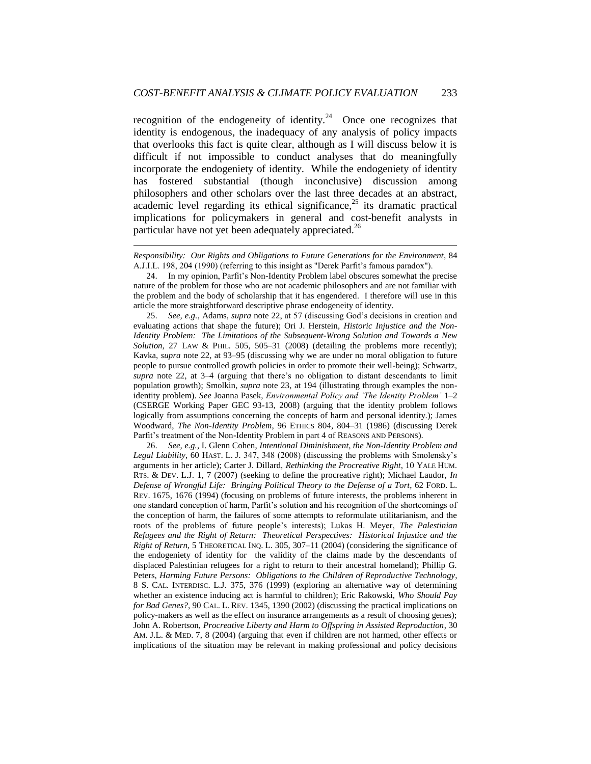recognition of the endogeneity of identity.<sup>24</sup> Once one recognizes that identity is endogenous, the inadequacy of any analysis of policy impacts that overlooks this fact is quite clear, although as I will discuss below it is difficult if not impossible to conduct analyses that do meaningfully incorporate the endogeniety of identity. While the endogeniety of identity has fostered substantial (though inconclusive) discussion among philosophers and other scholars over the last three decades at an abstract, academic level regarding its ethical significance, $25$  its dramatic practical implications for policymakers in general and cost-benefit analysts in particular have not yet been adequately appreciated.<sup>26</sup>

<span id="page-6-0"></span>1

25. *See, e.g.*, Adams, *supra* note 22, at 57 (discussing God's decisions in creation and evaluating actions that shape the future); Ori J. Herstein, *Historic Injustice and the Non-Identity Problem: The Limitations of the Subsequent-Wrong Solution and Towards a New Solution*, 27 LAW & PHIL. 505, 505–31 (2008) (detailing the problems more recently); Kavka, *supra* note 22, at 93–95 (discussing why we are under no moral obligation to future people to pursue controlled growth policies in order to promote their well-being); Schwartz, *supra* note 22, at 3–4 (arguing that there's no obligation to distant descendants to limit population growth); Smolkin, *supra* note 23, at 194 (illustrating through examples the nonidentity problem). *See* Joanna Pasek, *Environmental Policy and 'The Identity Problem'* 1–2 (CSERGE Working Paper GEC 93-13, 2008) (arguing that the identity problem follows logically from assumptions concerning the concepts of harm and personal identity.); James Woodward, *The Non-Identity Problem*, 96 ETHICS 804, 804–31 (1986) (discussing Derek Parfit's treatment of the Non-Identity Problem in part 4 of REASONS AND PERSONS).

26. *See, e.g.*, I. Glenn Cohen, *Intentional Diminishment, the Non-Identity Problem and Legal Liability*, 60 HAST. L. J. 347, 348 (2008) (discussing the problems with Smolensky's arguments in her article); Carter J. Dillard, *Rethinking the Procreative Right*, 10 YALE HUM. RTS. & DEV. L.J. 1, 7 (2007) (seeking to define the procreative right); Michael Laudor, *In Defense of Wrongful Life: Bringing Political Theory to the Defense of a Tort*, 62 FORD. L. REV. 1675, 1676 (1994) (focusing on problems of future interests, the problems inherent in one standard conception of harm, Parfit's solution and his recognition of the shortcomings of the conception of harm, the failures of some attempts to reformulate utilitarianism, and the roots of the problems of future people's interests); Lukas H. Meyer, *The Palestinian Refugees and the Right of Return: Theoretical Perspectives: Historical Injustice and the Right of Return*, 5 THEORETICAL INQ. L. 305, 307–11 (2004) (considering the significance of the endogeniety of identity for the validity of the claims made by the descendants of displaced Palestinian refugees for a right to return to their ancestral homeland); Phillip G. Peters, *Harming Future Persons: Obligations to the Children of Reproductive Technology*, 8 S. CAL. INTERDISC. L.J. 375, 376 (1999) (exploring an alternative way of determining whether an existence inducing act is harmful to children); Eric Rakowski, *Who Should Pay for Bad Genes?*, 90 CAL. L. REV. 1345, 1390 (2002) (discussing the practical implications on policy-makers as well as the effect on insurance arrangements as a result of choosing genes); John A. Robertson, *Procreative Liberty and Harm to Offspring in Assisted Reproduction*, 30 AM. J.L. & MED. 7, 8 (2004) (arguing that even if children are not harmed, other effects or implications of the situation may be relevant in making professional and policy decisions

*Responsibility: Our Rights and Obligations to Future Generations for the Environment*, 84 A.J.I.L. 198, 204 (1990) (referring to this insight as "Derek Parfit's famous paradox").

<sup>24.</sup> In my opinion, Parfit's Non-Identity Problem label obscures somewhat the precise nature of the problem for those who are not academic philosophers and are not familiar with the problem and the body of scholarship that it has engendered. I therefore will use in this article the more straightforward descriptive phrase endogeneity of identity.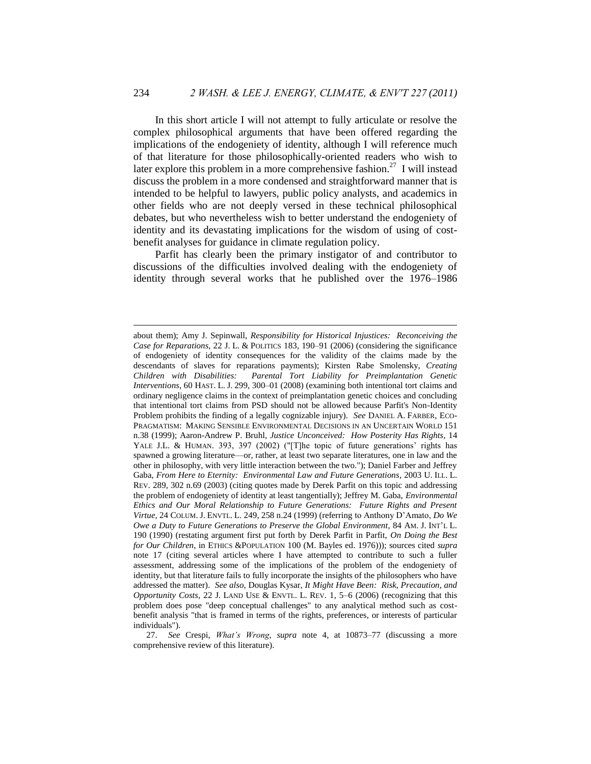In this short article I will not attempt to fully articulate or resolve the complex philosophical arguments that have been offered regarding the implications of the endogeniety of identity, although I will reference much of that literature for those philosophically-oriented readers who wish to later explore this problem in a more comprehensive fashion.<sup>27</sup> I will instead discuss the problem in a more condensed and straightforward manner that is intended to be helpful to lawyers, public policy analysts, and academics in other fields who are not deeply versed in these technical philosophical debates, but who nevertheless wish to better understand the endogeniety of identity and its devastating implications for the wisdom of using of costbenefit analyses for guidance in climate regulation policy.

Parfit has clearly been the primary instigator of and contributor to discussions of the difficulties involved dealing with the endogeniety of identity through several works that he published over the 1976–1986

1

about them); Amy J. Sepinwall, *Responsibility for Historical Injustices: Reconceiving the Case for Reparations*, 22 J. L. & POLITICS 183, 190–91 (2006) (considering the significance of endogeniety of identity consequences for the validity of the claims made by the descendants of slaves for reparations payments); Kirsten Rabe Smolensky, *Creating Children with Disabilities: Parental Tort Liability for Preimplantation Genetic Interventions*, 60 HAST. L. J. 299, 300–01 (2008) (examining both intentional tort claims and ordinary negligence claims in the context of preimplantation genetic choices and concluding that intentional tort claims from PSD should not be allowed because Parfit's Non-Identity Problem prohibits the finding of a legally cognizable injury). *See* DANIEL A. FARBER, ECO-PRAGMATISM: MAKING SENSIBLE ENVIRONMENTAL DECISIONS IN AN UNCERTAIN WORLD 151 n.38 (1999); Aaron-Andrew P. Bruhl, *Justice Unconceived: How Posterity Has Rights,* 14 YALE J.L. & HUMAN. 393, 397 (2002) ("[T]he topic of future generations' rights has spawned a growing literature—or, rather, at least two separate literatures, one in law and the other in philosophy, with very little interaction between the two."); Daniel Farber and Jeffrey Gaba, *From Here to Eternity: Environmental Law and Future Generations*, 2003 U. ILL. L. REV. 289, 302 n.69 (2003) (citing quotes made by Derek Parfit on this topic and addressing the problem of endogeniety of identity at least tangentially); Jeffrey M. Gaba, *Environmental Ethics and Our Moral Relationship to Future Generations: Future Rights and Present Virtue,* 24 COLUM. J. ENVTL. L. 249, 258 n.24 (1999) (referring to Anthony D'Amato, *Do We Owe a Duty to Future Generations to Preserve the Global Environment*, 84 AM. J. INT'L L. 190 (1990) (restating argument first put forth by Derek Parfit in Parfit, *On Doing the Best for Our Children*, in ETHICS &POPULATION 100 (M. Bayles ed. 1976))); sources cited *supra*  note 17 (citing several articles where I have attempted to contribute to such a fuller assessment, addressing some of the implications of the problem of the endogeniety of identity, but that literature fails to fully incorporate the insights of the philosophers who have addressed the matter). *See also*, Douglas Kysar, *It Might Have Been: Risk, Precaution, and Opportunity Costs*, 22 J. LAND USE & ENVTL. L. REV. 1, 5–6 (2006) (recognizing that this problem does pose "deep conceptual challenges" to any analytical method such as costbenefit analysis "that is framed in terms of the rights, preferences, or interests of particular individuals").

<sup>27.</sup> *See* Crespi, *What's Wrong*, *supra* note [4,](#page-2-0) at 10873–77 (discussing a more comprehensive review of this literature).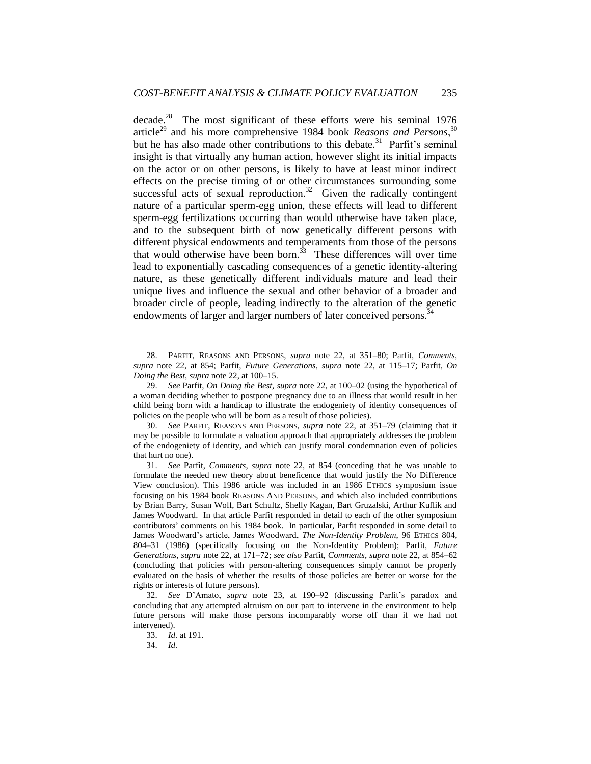decade.<sup>28</sup> The most significant of these efforts were his seminal  $1976$ article<sup>29</sup> and his more comprehensive 1984 book *Reasons and Persons*,<sup>30</sup> but he has also made other contributions to this debate.<sup>31</sup> Parfit's seminal insight is that virtually any human action, however slight its initial impacts on the actor or on other persons, is likely to have at least minor indirect effects on the precise timing of or other circumstances surrounding some successful acts of sexual reproduction. $32$  Given the radically contingent nature of a particular sperm-egg union, these effects will lead to different sperm-egg fertilizations occurring than would otherwise have taken place, and to the subsequent birth of now genetically different persons with different physical endowments and temperaments from those of the persons that would otherwise have been born.<sup>33</sup> These differences will over time lead to exponentially cascading consequences of a genetic identity-altering nature, as these genetically different individuals mature and lead their unique lives and influence the sexual and other behavior of a broader and broader circle of people, leading indirectly to the alteration of the genetic endowments of larger and larger numbers of later conceived persons.<sup>3</sup>

<sup>28.</sup> PARFIT, REASONS AND PERSONS, *supra* note 22, at 351–80; Parfit, *Comments*, *supra* note 22, at 854; Parfit, *Future Generations*, *supra* note 22, at 115–17; Parfit, *On Doing the Best*, *supra* note 22, at 100–15.

<sup>29.</sup> *See* Parfit, *On Doing the Best*, *supra* note 22, at 100–02 (using the hypothetical of a woman deciding whether to postpone pregnancy due to an illness that would result in her child being born with a handicap to illustrate the endogeniety of identity consequences of policies on the people who will be born as a result of those policies).

<sup>30.</sup> *See* PARFIT, REASONS AND PERSONS, *supra* note 22, at 351–79 (claiming that it may be possible to formulate a valuation approach that appropriately addresses the problem of the endogeniety of identity, and which can justify moral condemnation even of policies that hurt no one).

<sup>31.</sup> *See* Parfit, *Comments*, *supra* note 22, at 854 (conceding that he was unable to formulate the needed new theory about beneficence that would justify the No Difference View conclusion). This 1986 article was included in an 1986 ETHICS symposium issue focusing on his 1984 book REASONS AND PERSONS, and which also included contributions by Brian Barry, Susan Wolf, Bart Schultz, Shelly Kagan, Bart Gruzalski, Arthur Kuflik and James Woodward. In that article Parfit responded in detail to each of the other symposium contributors' comments on his 1984 book. In particular, Parfit responded in some detail to James Woodward's article, James Woodward, *The Non-Identity Problem*, 96 ETHICS 804, 804–31 (1986) (specifically focusing on the Non-Identity Problem); Parfit, *Future Generations*, *supra* note 22, at 171–72; *see also* Parfit, *Comments*, *supra* note 22, at 854–62 (concluding that policies with person-altering consequences simply cannot be properly evaluated on the basis of whether the results of those policies are better or worse for the rights or interests of future persons).

<sup>32.</sup> *See* D'Amato, *supra* note 23, at 190–92 (discussing Parfit's paradox and concluding that any attempted altruism on our part to intervene in the environment to help future persons will make those persons incomparably worse off than if we had not intervened).

<sup>33.</sup> *Id.* at 191.

<sup>34.</sup> *Id.*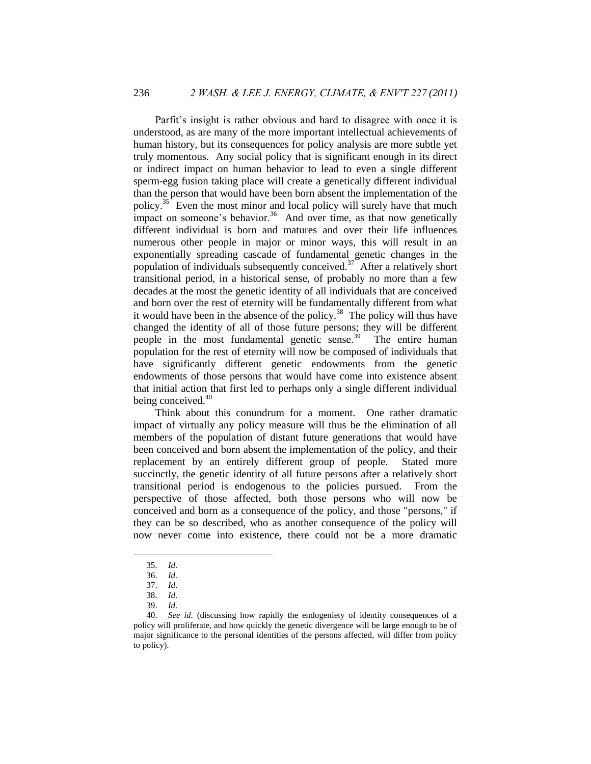Parfit's insight is rather obvious and hard to disagree with once it is understood, as are many of the more important intellectual achievements of human history, but its consequences for policy analysis are more subtle yet truly momentous. Any social policy that is significant enough in its direct or indirect impact on human behavior to lead to even a single different sperm-egg fusion taking place will create a genetically different individual than the person that would have been born absent the implementation of the policy.<sup>35</sup> Even the most minor and local policy will surely have that much impact on someone's behavior.<sup>36</sup> And over time, as that now genetically different individual is born and matures and over their life influences numerous other people in major or minor ways, this will result in an exponentially spreading cascade of fundamental genetic changes in the population of individuals subsequently conceived.<sup>37</sup> After a relatively short transitional period, in a historical sense, of probably no more than a few decades at the most the genetic identity of all individuals that are conceived and born over the rest of eternity will be fundamentally different from what it would have been in the absence of the policy.<sup>38</sup> The policy will thus have changed the identity of all of those future persons; they will be different people in the most fundamental genetic sense.<sup>39</sup> The entire human population for the rest of eternity will now be composed of individuals that have significantly different genetic endowments from the genetic endowments of those persons that would have come into existence absent that initial action that first led to perhaps only a single different individual being conceived.<sup>40</sup>

Think about this conundrum for a moment. One rather dramatic impact of virtually any policy measure will thus be the elimination of all members of the population of distant future generations that would have been conceived and born absent the implementation of the policy, and their replacement by an entirely different group of people. Stated more succinctly, the genetic identity of all future persons after a relatively short transitional period is endogenous to the policies pursued. From the perspective of those affected, both those persons who will now be conceived and born as a consequence of the policy, and those "persons," if they can be so described, who as another consequence of the policy will now never come into existence, there could not be a more dramatic

 $\overline{a}$ 

39. *Id.*

<sup>35.</sup> *Id.* 

<sup>36.</sup> *Id.*

<sup>37.</sup> *Id.*

<sup>38.</sup> *Id.*

<sup>40.</sup> *See id.* (discussing how rapidly the endogeniety of identity consequences of a policy will proliferate, and how quickly the genetic divergence will be large enough to be of major significance to the personal identities of the persons affected, will differ from policy to policy).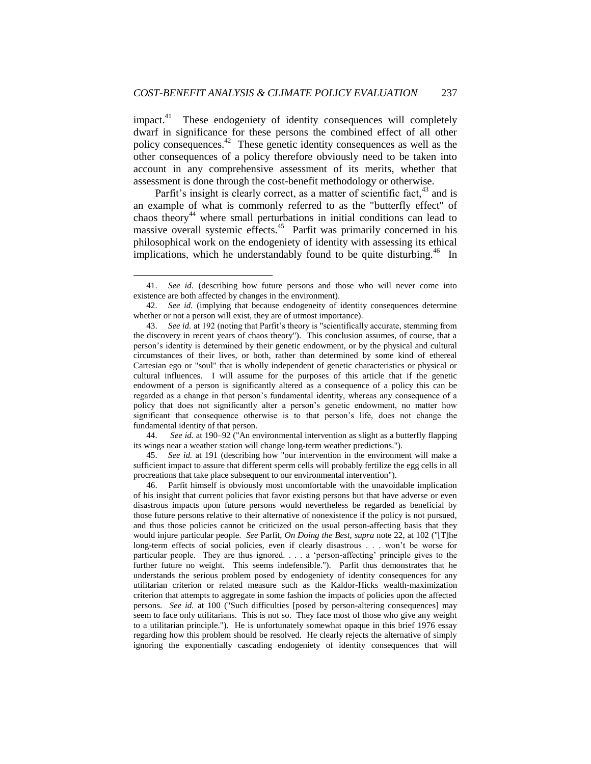impact.<sup>41</sup> These endogeniety of identity consequences will completely dwarf in significance for these persons the combined effect of all other policy consequences.<sup>42</sup> These genetic identity consequences as well as the other consequences of a policy therefore obviously need to be taken into account in any comprehensive assessment of its merits, whether that assessment is done through the cost-benefit methodology or otherwise.

Parfit's insight is clearly correct, as a matter of scientific fact,  $43$  and is an example of what is commonly referred to as the "butterfly effect" of chaos theory<sup>44</sup> where small perturbations in initial conditions can lead to massive overall systemic effects.<sup>45</sup> Parfit was primarily concerned in his philosophical work on the endogeniety of identity with assessing its ethical implications, which he understandably found to be quite disturbing.<sup>46</sup> In

 $\overline{a}$ 

44. *See id.* at 190–92 ("An environmental intervention as slight as a butterfly flapping its wings near a weather station will change long-term weather predictions.").

45. *See id.* at 191 (describing how "our intervention in the environment will make a sufficient impact to assure that different sperm cells will probably fertilize the egg cells in all procreations that take place subsequent to our environmental intervention").

46. Parfit himself is obviously most uncomfortable with the unavoidable implication of his insight that current policies that favor existing persons but that have adverse or even disastrous impacts upon future persons would nevertheless be regarded as beneficial by those future persons relative to their alternative of nonexistence if the policy is not pursued, and thus those policies cannot be criticized on the usual person-affecting basis that they would injure particular people. *See* Parfit, *On Doing the Best*, *supra* note [22,](#page-5-1) at 102 ("[T]he long-term effects of social policies, even if clearly disastrous . . . won't be worse for particular people. They are thus ignored. . . . a ‗person-affecting' principle gives to the further future no weight. This seems indefensible."). Parfit thus demonstrates that he understands the serious problem posed by endogeniety of identity consequences for any utilitarian criterion or related measure such as the Kaldor-Hicks wealth-maximization criterion that attempts to aggregate in some fashion the impacts of policies upon the affected persons. *See id.* at 100 ("Such difficulties [posed by person-altering consequences] may seem to face only utilitarians. This is not so. They face most of those who give any weight to a utilitarian principle."). He is unfortunately somewhat opaque in this brief 1976 essay regarding how this problem should be resolved. He clearly rejects the alternative of simply ignoring the exponentially cascading endogeniety of identity consequences that will

<sup>41.</sup> *See id.* (describing how future persons and those who will never come into existence are both affected by changes in the environment).

<sup>42.</sup> *See id.* (implying that because endogeneity of identity consequences determine whether or not a person will exist, they are of utmost importance).

<sup>43.</sup> *See id.* at 192 (noting that Parfit's theory is "scientifically accurate, stemming from the discovery in recent years of chaos theory"). This conclusion assumes, of course, that a person's identity is determined by their genetic endowment, or by the physical and cultural circumstances of their lives, or both, rather than determined by some kind of ethereal Cartesian ego or "soul" that is wholly independent of genetic characteristics or physical or cultural influences. I will assume for the purposes of this article that if the genetic endowment of a person is significantly altered as a consequence of a policy this can be regarded as a change in that person's fundamental identity, whereas any consequence of a policy that does not significantly alter a person's genetic endowment, no matter how significant that consequence otherwise is to that person's life, does not change the fundamental identity of that person.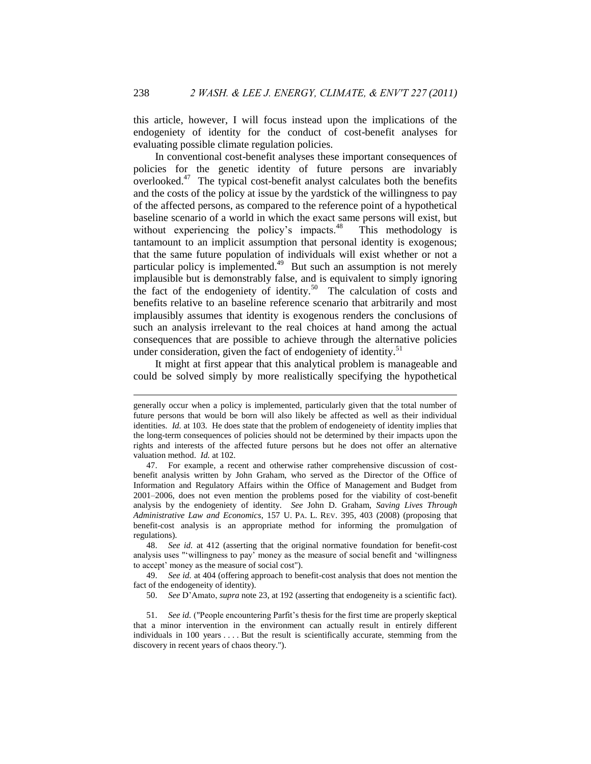this article, however, I will focus instead upon the implications of the endogeniety of identity for the conduct of cost-benefit analyses for evaluating possible climate regulation policies.

<span id="page-11-1"></span><span id="page-11-0"></span>In conventional cost-benefit analyses these important consequences of policies for the genetic identity of future persons are invariably overlooked. $47$  The typical cost-benefit analyst calculates both the benefits and the costs of the policy at issue by the yardstick of the willingness to pay of the affected persons, as compared to the reference point of a hypothetical baseline scenario of a world in which the exact same persons will exist, but without experiencing the policy's impacts. $48$  This methodology is tantamount to an implicit assumption that personal identity is exogenous; that the same future population of individuals will exist whether or not a particular policy is implemented.<sup>49</sup> But such an assumption is not merely implausible but is demonstrably false, and is equivalent to simply ignoring the fact of the endogeniety of identity.<sup>50</sup> The calculation of costs and benefits relative to an baseline reference scenario that arbitrarily and most implausibly assumes that identity is exogenous renders the conclusions of such an analysis irrelevant to the real choices at hand among the actual consequences that are possible to achieve through the alternative policies under consideration, given the fact of endogeniety of identity.<sup>51</sup>

<span id="page-11-2"></span>It might at first appear that this analytical problem is manageable and could be solved simply by more realistically specifying the hypothetical

48. *See id.* at 412 (asserting that the original normative foundation for benefit-cost analysis uses "'willingness to pay' money as the measure of social benefit and 'willingness to accept' money as the measure of social cost").

49. *See id.* at 404 (offering approach to benefit-cost analysis that does not mention the fact of the endogeneity of identity).

50. *See* D'Amato, *supra* note [23,](#page-5-2) at 192 (asserting that endogeneity is a scientific fact).

51. *See id.* ("People encountering Parfit's thesis for the first time are properly skeptical that a minor intervention in the environment can actually result in entirely different individuals in 100 years . . . . But the result is scientifically accurate, stemming from the discovery in recent years of chaos theory.").

1

generally occur when a policy is implemented, particularly given that the total number of future persons that would be born will also likely be affected as well as their individual identities. *Id.* at 103. He does state that the problem of endogeneiety of identity implies that the long-term consequences of policies should not be determined by their impacts upon the rights and interests of the affected future persons but he does not offer an alternative valuation method. *Id.* at 102.

<sup>47.</sup> For example, a recent and otherwise rather comprehensive discussion of costbenefit analysis written by John Graham, who served as the Director of the Office of Information and Regulatory Affairs within the Office of Management and Budget from 2001–2006, does not even mention the problems posed for the viability of cost-benefit analysis by the endogeniety of identity. *See* John D. Graham, *Saving Lives Through Administrative Law and Economics*, 157 U. PA. L. REV. 395, 403 (2008) (proposing that benefit-cost analysis is an appropriate method for informing the promulgation of regulations).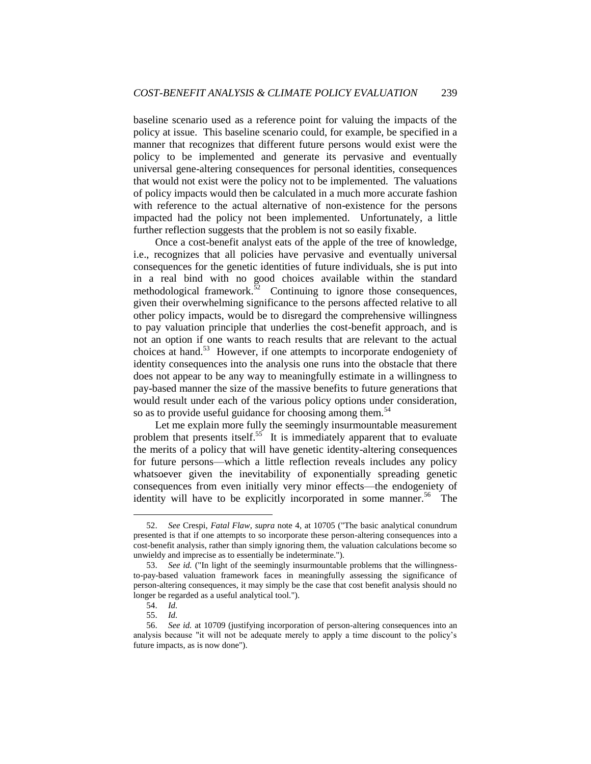baseline scenario used as a reference point for valuing the impacts of the policy at issue. This baseline scenario could, for example, be specified in a manner that recognizes that different future persons would exist were the policy to be implemented and generate its pervasive and eventually universal gene-altering consequences for personal identities, consequences that would not exist were the policy not to be implemented. The valuations of policy impacts would then be calculated in a much more accurate fashion with reference to the actual alternative of non-existence for the persons impacted had the policy not been implemented. Unfortunately, a little further reflection suggests that the problem is not so easily fixable.

Once a cost-benefit analyst eats of the apple of the tree of knowledge, i.e., recognizes that all policies have pervasive and eventually universal consequences for the genetic identities of future individuals, she is put into in a real bind with no good choices available within the standard methodological framework.<sup>52</sup> Continuing to ignore those consequences, given their overwhelming significance to the persons affected relative to all other policy impacts, would be to disregard the comprehensive willingness to pay valuation principle that underlies the cost-benefit approach, and is not an option if one wants to reach results that are relevant to the actual choices at hand.<sup>53</sup> However, if one attempts to incorporate endogeniety of identity consequences into the analysis one runs into the obstacle that there does not appear to be any way to meaningfully estimate in a willingness to pay-based manner the size of the massive benefits to future generations that would result under each of the various policy options under consideration, so as to provide useful guidance for choosing among them.<sup>54</sup>

Let me explain more fully the seemingly insurmountable measurement problem that presents itself.<sup>55</sup> It is immediately apparent that to evaluate the merits of a policy that will have genetic identity-altering consequences for future persons—which a little reflection reveals includes any policy whatsoever given the inevitability of exponentially spreading genetic consequences from even initially very minor effects—the endogeniety of identity will have to be explicitly incorporated in some manner.<sup>56</sup> The

<sup>52.</sup> *See* Crespi, *Fatal Flaw*, *supra* note [4,](#page-2-0) at 10705 ("The basic analytical conundrum presented is that if one attempts to so incorporate these person-altering consequences into a cost-benefit analysis, rather than simply ignoring them, the valuation calculations become so unwieldy and imprecise as to essentially be indeterminate.").

<sup>53.</sup> *See id.* ("In light of the seemingly insurmountable problems that the willingnessto-pay-based valuation framework faces in meaningfully assessing the significance of person-altering consequences, it may simply be the case that cost benefit analysis should no longer be regarded as a useful analytical tool.").

<sup>54.</sup> *Id.*

<sup>55.</sup> *Id.*

<sup>56.</sup> *See id.* at 10709 (justifying incorporation of person-altering consequences into an analysis because "it will not be adequate merely to apply a time discount to the policy's future impacts, as is now done").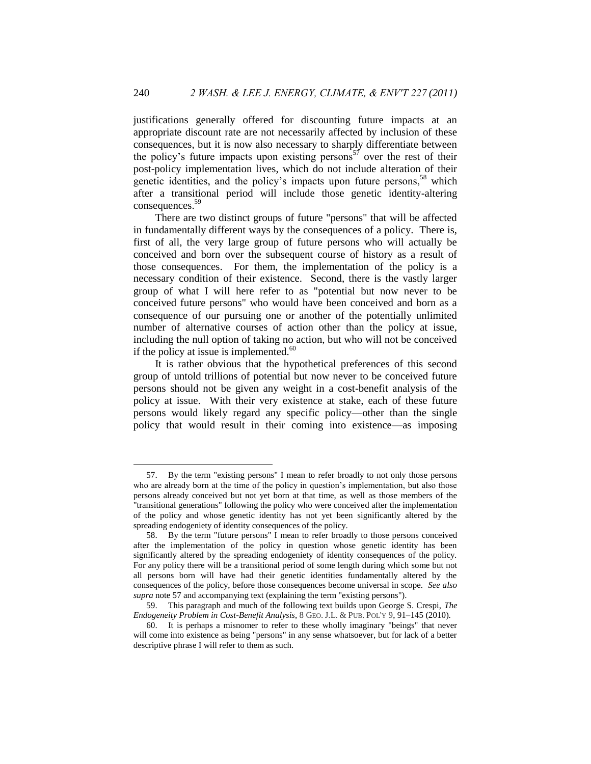<span id="page-13-0"></span>justifications generally offered for discounting future impacts at an appropriate discount rate are not necessarily affected by inclusion of these consequences, but it is now also necessary to sharply differentiate between the policy's future impacts upon existing persons<sup>57</sup> over the rest of their post-policy implementation lives, which do not include alteration of their genetic identities, and the policy's impacts upon future persons,  $58$  which after a transitional period will include those genetic identity-altering consequences.<sup>59</sup>

There are two distinct groups of future "persons" that will be affected in fundamentally different ways by the consequences of a policy. There is, first of all, the very large group of future persons who will actually be conceived and born over the subsequent course of history as a result of those consequences. For them, the implementation of the policy is a necessary condition of their existence. Second, there is the vastly larger group of what I will here refer to as "potential but now never to be conceived future persons" who would have been conceived and born as a consequence of our pursuing one or another of the potentially unlimited number of alternative courses of action other than the policy at issue, including the null option of taking no action, but who will not be conceived if the policy at issue is implemented. $60$ 

<span id="page-13-1"></span>It is rather obvious that the hypothetical preferences of this second group of untold trillions of potential but now never to be conceived future persons should not be given any weight in a cost-benefit analysis of the policy at issue. With their very existence at stake, each of these future persons would likely regard any specific policy—other than the single policy that would result in their coming into existence—as imposing

<sup>57.</sup> By the term "existing persons" I mean to refer broadly to not only those persons who are already born at the time of the policy in question's implementation, but also those persons already conceived but not yet born at that time, as well as those members of the "transitional generations" following the policy who were conceived after the implementation of the policy and whose genetic identity has not yet been significantly altered by the spreading endogeniety of identity consequences of the policy.

<sup>58.</sup> By the term "future persons" I mean to refer broadly to those persons conceived after the implementation of the policy in question whose genetic identity has been significantly altered by the spreading endogeniety of identity consequences of the policy. For any policy there will be a transitional period of some length during which some but not all persons born will have had their genetic identities fundamentally altered by the consequences of the policy, before those consequences become universal in scope. *See also supra* not[e 57](#page-13-0) and accompanying text (explaining the term "existing persons").

<sup>59.</sup> This paragraph and much of the following text builds upon George S. Crespi, *The Endogeneity Problem in Cost-Benefit Analysis*, 8 GEO. J.L. & PUB. POL'Y 9, 91–145 (2010).

<sup>60.</sup> It is perhaps a misnomer to refer to these wholly imaginary "beings" that never will come into existence as being "persons" in any sense whatsoever, but for lack of a better descriptive phrase I will refer to them as such.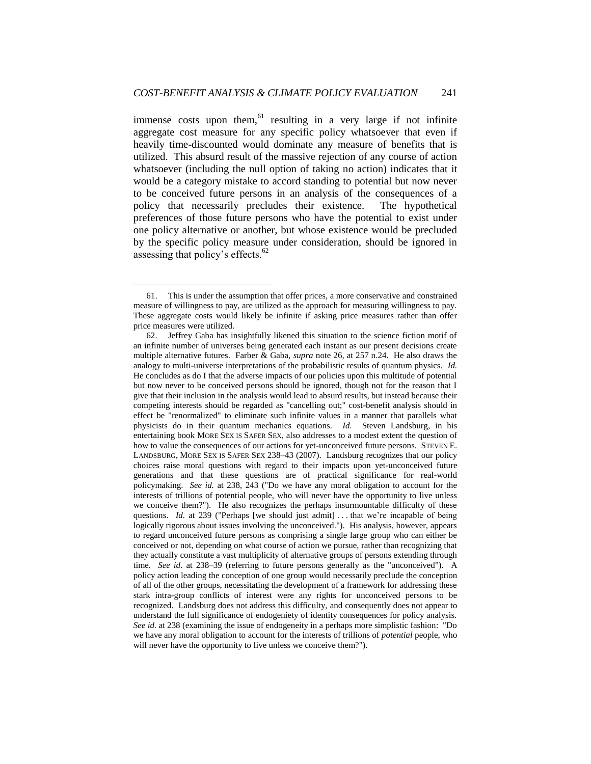immense costs upon them, $61$  resulting in a very large if not infinite aggregate cost measure for any specific policy whatsoever that even if heavily time-discounted would dominate any measure of benefits that is utilized. This absurd result of the massive rejection of any course of action whatsoever (including the null option of taking no action) indicates that it would be a category mistake to accord standing to potential but now never to be conceived future persons in an analysis of the consequences of a policy that necessarily precludes their existence. The hypothetical preferences of those future persons who have the potential to exist under one policy alternative or another, but whose existence would be precluded by the specific policy measure under consideration, should be ignored in assessing that policy's effects. $62$ 

<span id="page-14-0"></span><sup>61.</sup> This is under the assumption that offer prices, a more conservative and constrained measure of willingness to pay, are utilized as the approach for measuring willingness to pay. These aggregate costs would likely be infinite if asking price measures rather than offer price measures were utilized.

<sup>62.</sup> Jeffrey Gaba has insightfully likened this situation to the science fiction motif of an infinite number of universes being generated each instant as our present decisions create multiple alternative futures. Farber & Gaba, *supra* note [26,](#page-6-0) at 257 n.24. He also draws the analogy to multi-universe interpretations of the probabilistic results of quantum physics. *Id.*  He concludes as do I that the adverse impacts of our policies upon this multitude of potential but now never to be conceived persons should be ignored, though not for the reason that I give that their inclusion in the analysis would lead to absurd results, but instead because their competing interests should be regarded as "cancelling out;" cost-benefit analysis should in effect be "renormalized" to eliminate such infinite values in a manner that parallels what physicists do in their quantum mechanics equations. *Id.* Steven Landsburg, in his entertaining book MORE SEX IS SAFER SEX, also addresses to a modest extent the question of how to value the consequences of our actions for yet-unconceived future persons. STEVEN E. LANDSBURG, MORE SEX IS SAFER SEX 238–43 (2007). Landsburg recognizes that our policy choices raise moral questions with regard to their impacts upon yet-unconceived future generations and that these questions are of practical significance for real-world policymaking. *See id.* at 238, 243 ("Do we have any moral obligation to account for the interests of trillions of potential people, who will never have the opportunity to live unless we conceive them?"). He also recognizes the perhaps insurmountable difficulty of these questions. *Id.* at 239 ("Perhaps [we should just admit] ... that we're incapable of being logically rigorous about issues involving the unconceived."). His analysis, however, appears to regard unconceived future persons as comprising a single large group who can either be conceived or not, depending on what course of action we pursue, rather than recognizing that they actually constitute a vast multiplicity of alternative groups of persons extending through time. *See id.* at 238–39 (referring to future persons generally as the "unconceived").A policy action leading the conception of one group would necessarily preclude the conception of all of the other groups, necessitating the development of a framework for addressing these stark intra-group conflicts of interest were any rights for unconceived persons to be recognized. Landsburg does not address this difficulty, and consequently does not appear to understand the full significance of endogeniety of identity consequences for policy analysis. *See id.* at 238 (examining the issue of endogeneity in a perhaps more simplistic fashion: "Do we have any moral obligation to account for the interests of trillions of *potential* people, who will never have the opportunity to live unless we conceive them?").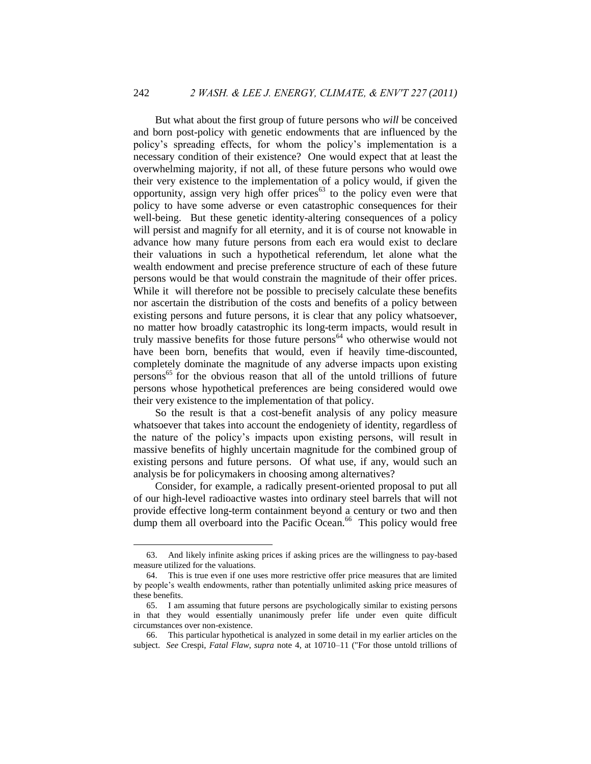But what about the first group of future persons who *will* be conceived and born post-policy with genetic endowments that are influenced by the policy's spreading effects, for whom the policy's implementation is a necessary condition of their existence? One would expect that at least the overwhelming majority, if not all, of these future persons who would owe their very existence to the implementation of a policy would, if given the opportunity, assign very high offer prices $^{63}$  to the policy even were that policy to have some adverse or even catastrophic consequences for their well-being. But these genetic identity-altering consequences of a policy will persist and magnify for all eternity, and it is of course not knowable in advance how many future persons from each era would exist to declare their valuations in such a hypothetical referendum, let alone what the wealth endowment and precise preference structure of each of these future persons would be that would constrain the magnitude of their offer prices. While it will therefore not be possible to precisely calculate these benefits nor ascertain the distribution of the costs and benefits of a policy between existing persons and future persons, it is clear that any policy whatsoever, no matter how broadly catastrophic its long-term impacts, would result in truly massive benefits for those future persons<sup> $64$ </sup> who otherwise would not have been born, benefits that would, even if heavily time-discounted, completely dominate the magnitude of any adverse impacts upon existing persons<sup>65</sup> for the obvious reason that all of the untold trillions of future persons whose hypothetical preferences are being considered would owe their very existence to the implementation of that policy.

So the result is that a cost-benefit analysis of any policy measure whatsoever that takes into account the endogeniety of identity, regardless of the nature of the policy's impacts upon existing persons, will result in massive benefits of highly uncertain magnitude for the combined group of existing persons and future persons. Of what use, if any, would such an analysis be for policymakers in choosing among alternatives?

Consider, for example, a radically present-oriented proposal to put all of our high-level radioactive wastes into ordinary steel barrels that will not provide effective long-term containment beyond a century or two and then dump them all overboard into the Pacific Ocean.<sup>66</sup> This policy would free

<span id="page-15-0"></span><sup>63.</sup> And likely infinite asking prices if asking prices are the willingness to pay-based measure utilized for the valuations.

<sup>64.</sup> This is true even if one uses more restrictive offer price measures that are limited by people's wealth endowments, rather than potentially unlimited asking price measures of these benefits.

<sup>65.</sup> I am assuming that future persons are psychologically similar to existing persons in that they would essentially unanimously prefer life under even quite difficult circumstances over non-existence.

<sup>66.</sup> This particular hypothetical is analyzed in some detail in my earlier articles on the subject. *See* Crespi, *Fatal Flaw*, *supra* note [4,](#page-2-0) at 10710–11 ("For those untold trillions of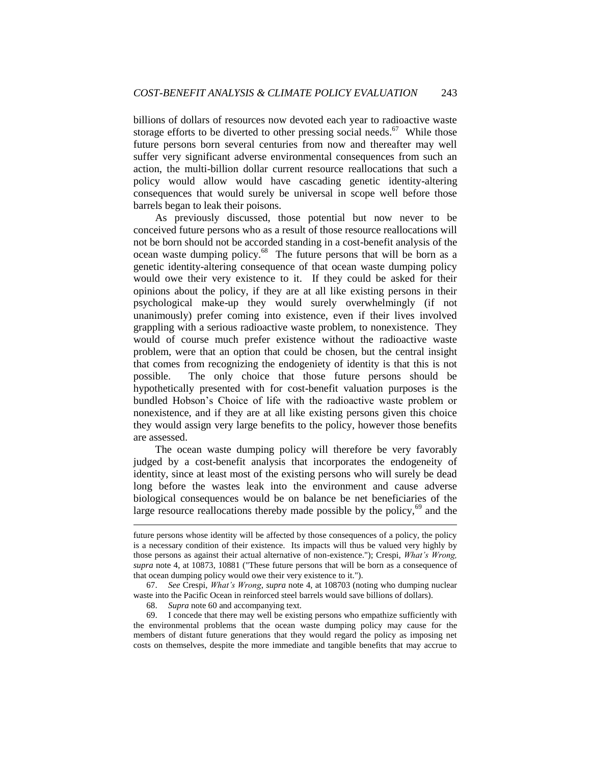billions of dollars of resources now devoted each year to radioactive waste storage efforts to be diverted to other pressing social needs. $67$  While those future persons born several centuries from now and thereafter may well suffer very significant adverse environmental consequences from such an action, the multi-billion dollar current resource reallocations that such a policy would allow would have cascading genetic identity-altering consequences that would surely be universal in scope well before those barrels began to leak their poisons.

As previously discussed, those potential but now never to be conceived future persons who as a result of those resource reallocations will not be born should not be accorded standing in a cost-benefit analysis of the ocean waste dumping policy.<sup>68</sup> The future persons that will be born as a genetic identity-altering consequence of that ocean waste dumping policy would owe their very existence to it. If they could be asked for their opinions about the policy, if they are at all like existing persons in their psychological make-up they would surely overwhelmingly (if not unanimously) prefer coming into existence, even if their lives involved grappling with a serious radioactive waste problem, to nonexistence. They would of course much prefer existence without the radioactive waste problem, were that an option that could be chosen, but the central insight that comes from recognizing the endogeniety of identity is that this is not possible. The only choice that those future persons should be hypothetically presented with for cost-benefit valuation purposes is the bundled Hobson's Choice of life with the radioactive waste problem or nonexistence, and if they are at all like existing persons given this choice they would assign very large benefits to the policy, however those benefits are assessed.

The ocean waste dumping policy will therefore be very favorably judged by a cost-benefit analysis that incorporates the endogeneity of identity, since at least most of the existing persons who will surely be dead long before the wastes leak into the environment and cause adverse biological consequences would be on balance be net beneficiaries of the large resource reallocations thereby made possible by the policy,  $69$  and the

68. *Supra* note [60](#page-13-1) and accompanying text.

1

future persons whose identity will be affected by those consequences of a policy, the policy is a necessary condition of their existence. Its impacts will thus be valued very highly by those persons as against their actual alternative of non-existence."); Crespi, *What's Wrong, supra* note [4,](#page-2-0) at 10873, 10881 ("These future persons that will be born as a consequence of that ocean dumping policy would owe their very existence to it.").

<sup>67.</sup> *See* Crespi, *What's Wrong*, *supra* note [4,](#page-2-0) at 108703 (noting who dumping nuclear waste into the Pacific Ocean in reinforced steel barrels would save billions of dollars).

<sup>69.</sup> I concede that there may well be existing persons who empathize sufficiently with the environmental problems that the ocean waste dumping policy may cause for the members of distant future generations that they would regard the policy as imposing net costs on themselves, despite the more immediate and tangible benefits that may accrue to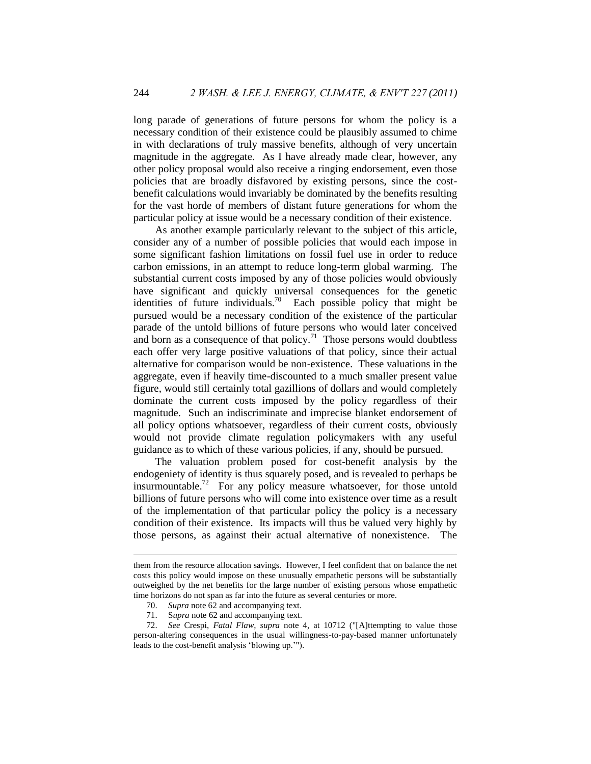long parade of generations of future persons for whom the policy is a necessary condition of their existence could be plausibly assumed to chime in with declarations of truly massive benefits, although of very uncertain magnitude in the aggregate. As I have already made clear, however, any other policy proposal would also receive a ringing endorsement, even those policies that are broadly disfavored by existing persons, since the costbenefit calculations would invariably be dominated by the benefits resulting for the vast horde of members of distant future generations for whom the particular policy at issue would be a necessary condition of their existence.

As another example particularly relevant to the subject of this article, consider any of a number of possible policies that would each impose in some significant fashion limitations on fossil fuel use in order to reduce carbon emissions, in an attempt to reduce long-term global warming. The substantial current costs imposed by any of those policies would obviously have significant and quickly universal consequences for the genetic identities of future individuals.<sup>70</sup> Each possible policy that might be pursued would be a necessary condition of the existence of the particular parade of the untold billions of future persons who would later conceived and born as a consequence of that policy.<sup>71</sup> Those persons would doubtless each offer very large positive valuations of that policy, since their actual alternative for comparison would be non-existence. These valuations in the aggregate, even if heavily time-discounted to a much smaller present value figure, would still certainly total gazillions of dollars and would completely dominate the current costs imposed by the policy regardless of their magnitude. Such an indiscriminate and imprecise blanket endorsement of all policy options whatsoever, regardless of their current costs, obviously would not provide climate regulation policymakers with any useful guidance as to which of these various policies, if any, should be pursued.

The valuation problem posed for cost-benefit analysis by the endogeniety of identity is thus squarely posed, and is revealed to perhaps be insurmountable.<sup>72</sup> For any policy measure whatsoever, for those untold billions of future persons who will come into existence over time as a result of the implementation of that particular policy the policy is a necessary condition of their existence. Its impacts will thus be valued very highly by those persons, as against their actual alternative of nonexistence. The

<u>.</u>

them from the resource allocation savings. However, I feel confident that on balance the net costs this policy would impose on these unusually empathetic persons will be substantially outweighed by the net benefits for the large number of existing persons whose empathetic time horizons do not span as far into the future as several centuries or more.

<sup>70.</sup> *Supra* note [62](#page-14-0) and accompanying text.

<sup>71.</sup> S*upra* not[e 62](#page-14-0) and accompanying text.

<sup>72.</sup> *See* Crespi, *Fatal Flaw, supra* note [4,](#page-2-0) at 10712 ("[A]ttempting to value those person-altering consequences in the usual willingness-to-pay-based manner unfortunately leads to the cost-benefit analysis 'blowing up.'").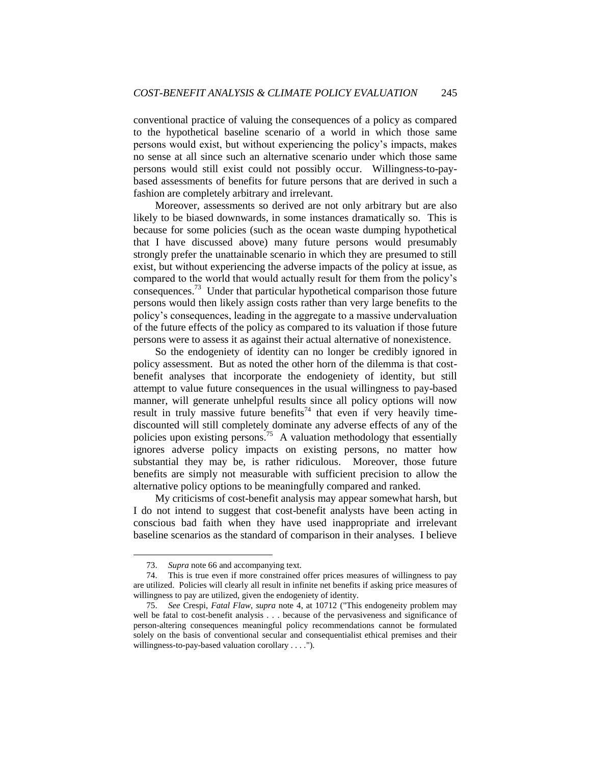conventional practice of valuing the consequences of a policy as compared to the hypothetical baseline scenario of a world in which those same persons would exist, but without experiencing the policy's impacts, makes no sense at all since such an alternative scenario under which those same persons would still exist could not possibly occur. Willingness-to-paybased assessments of benefits for future persons that are derived in such a fashion are completely arbitrary and irrelevant.

Moreover, assessments so derived are not only arbitrary but are also likely to be biased downwards, in some instances dramatically so. This is because for some policies (such as the ocean waste dumping hypothetical that I have discussed above) many future persons would presumably strongly prefer the unattainable scenario in which they are presumed to still exist, but without experiencing the adverse impacts of the policy at issue, as compared to the world that would actually result for them from the policy's consequences.<sup>73</sup> Under that particular hypothetical comparison those future persons would then likely assign costs rather than very large benefits to the policy's consequences, leading in the aggregate to a massive undervaluation of the future effects of the policy as compared to its valuation if those future persons were to assess it as against their actual alternative of nonexistence.

So the endogeniety of identity can no longer be credibly ignored in policy assessment. But as noted the other horn of the dilemma is that costbenefit analyses that incorporate the endogeniety of identity, but still attempt to value future consequences in the usual willingness to pay-based manner, will generate unhelpful results since all policy options will now result in truly massive future benefits<sup>74</sup> that even if very heavily timediscounted will still completely dominate any adverse effects of any of the policies upon existing persons.<sup>75</sup> A valuation methodology that essentially ignores adverse policy impacts on existing persons, no matter how substantial they may be, is rather ridiculous. Moreover, those future benefits are simply not measurable with sufficient precision to allow the alternative policy options to be meaningfully compared and ranked.

My criticisms of cost-benefit analysis may appear somewhat harsh, but I do not intend to suggest that cost-benefit analysts have been acting in conscious bad faith when they have used inappropriate and irrelevant baseline scenarios as the standard of comparison in their analyses. I believe

<sup>73.</sup> *Supra* note [66](#page-15-0) and accompanying text.

<sup>74.</sup> This is true even if more constrained offer prices measures of willingness to pay are utilized. Policies will clearly all result in infinite net benefits if asking price measures of willingness to pay are utilized, given the endogeniety of identity.

<sup>75.</sup> *See* Crespi, *Fatal Flaw*, *supra* note [4,](#page-2-0) at 10712 ("This endogeneity problem may well be fatal to cost-benefit analysis . . . because of the pervasiveness and significance of person-altering consequences meaningful policy recommendations cannot be formulated solely on the basis of conventional secular and consequentialist ethical premises and their willingness-to-pay-based valuation corollary . . . .").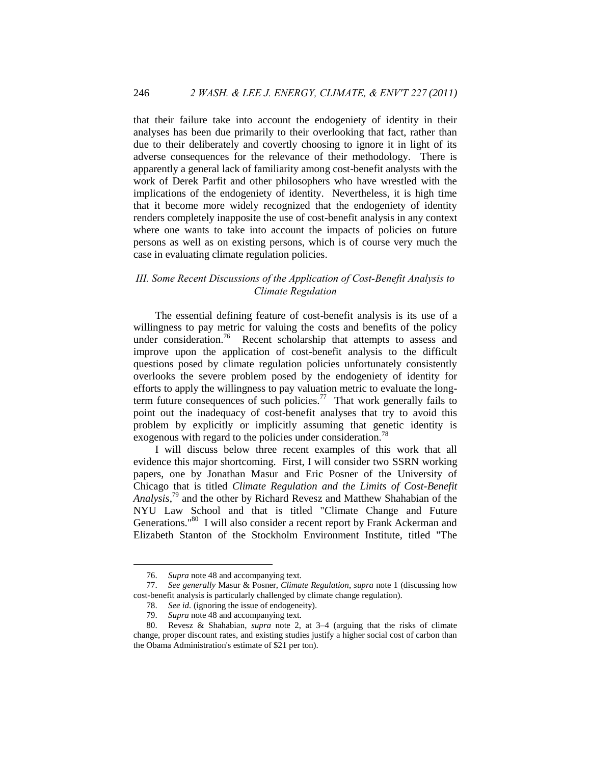that their failure take into account the endogeniety of identity in their analyses has been due primarily to their overlooking that fact, rather than due to their deliberately and covertly choosing to ignore it in light of its adverse consequences for the relevance of their methodology. There is apparently a general lack of familiarity among cost-benefit analysts with the work of Derek Parfit and other philosophers who have wrestled with the implications of the endogeniety of identity. Nevertheless, it is high time that it become more widely recognized that the endogeniety of identity renders completely inapposite the use of cost-benefit analysis in any context where one wants to take into account the impacts of policies on future persons as well as on existing persons, which is of course very much the case in evaluating climate regulation policies.

## <span id="page-19-0"></span>*III. Some Recent Discussions of the Application of Cost-Benefit Analysis to Climate Regulation*

The essential defining feature of cost-benefit analysis is its use of a willingness to pay metric for valuing the costs and benefits of the policy under consideration.<sup>76</sup> Recent scholarship that attempts to assess and improve upon the application of cost-benefit analysis to the difficult questions posed by climate regulation policies unfortunately consistently overlooks the severe problem posed by the endogeniety of identity for efforts to apply the willingness to pay valuation metric to evaluate the longterm future consequences of such policies.<sup>77</sup> That work generally fails to point out the inadequacy of cost-benefit analyses that try to avoid this problem by explicitly or implicitly assuming that genetic identity is exogenous with regard to the policies under consideration.<sup>78</sup>

I will discuss below three recent examples of this work that all evidence this major shortcoming. First, I will consider two SSRN working papers, one by Jonathan Masur and Eric Posner of the University of Chicago that is titled *Climate Regulation and the Limits of Cost-Benefit Analysis*, <sup>79</sup> and the other by Richard Revesz and Matthew Shahabian of the NYU Law School and that is titled "Climate Change and Future Generations."<sup>80</sup> I will also consider a recent report by Frank Ackerman and Elizabeth Stanton of the Stockholm Environment Institute, titled "The

<sup>76.</sup> *Supra* note [48](#page-11-0) and accompanying text.

<sup>77.</sup> *See generally* Masur & Posner, *Climate Regulation*, *supra* note [1](#page-1-1) (discussing how cost-benefit analysis is particularly challenged by climate change regulation).

<sup>78.</sup> *See id.* (ignoring the issue of endogeneity).

<sup>79.</sup> *Supra* note [48](#page-11-0) and accompanying text.

<sup>80.</sup> Revesz & Shahabian, *supra* note [2,](#page-1-2) at 3–4 (arguing that the risks of climate change, proper discount rates, and existing studies justify a higher social cost of carbon than the Obama Administration's estimate of \$21 per ton).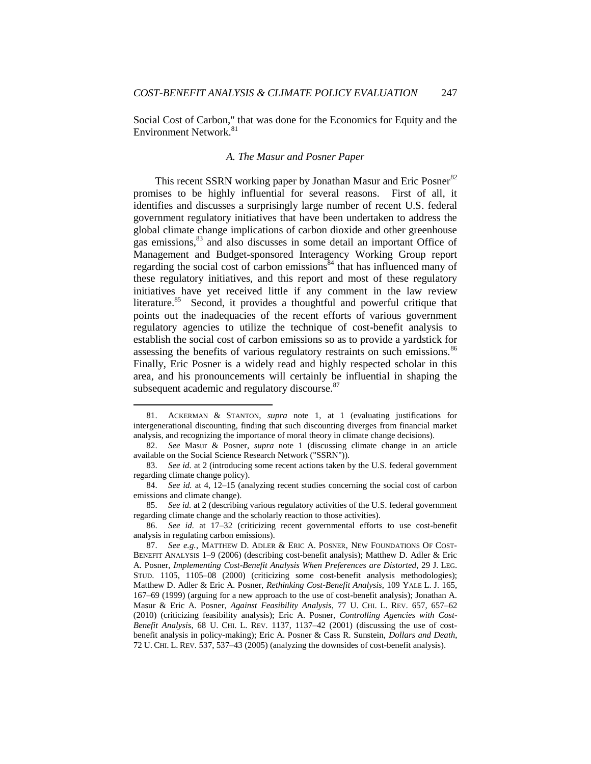Social Cost of Carbon," that was done for the Economics for Equity and the Environment Network.<sup>81</sup>

## *A. The Masur and Posner Paper*

<span id="page-20-0"></span>This recent SSRN working paper by Jonathan Masur and Eric Posner<sup>82</sup> promises to be highly influential for several reasons. First of all, it identifies and discusses a surprisingly large number of recent U.S. federal government regulatory initiatives that have been undertaken to address the global climate change implications of carbon dioxide and other greenhouse gas emissions,<sup>83</sup> and also discusses in some detail an important Office of Management and Budget-sponsored Interagency Working Group report regarding the social cost of carbon emissions $84$  that has influenced many of these regulatory initiatives, and this report and most of these regulatory initiatives have yet received little if any comment in the law review literature.<sup>85</sup> Second, it provides a thoughtful and powerful critique that points out the inadequacies of the recent efforts of various government regulatory agencies to utilize the technique of cost-benefit analysis to establish the social cost of carbon emissions so as to provide a yardstick for assessing the benefits of various regulatory restraints on such emissions.<sup>86</sup> Finally, Eric Posner is a widely read and highly respected scholar in this area, and his pronouncements will certainly be influential in shaping the subsequent academic and regulatory discourse.<sup>87</sup>

<sup>81.</sup> ACKERMAN & STANTON, *supra* note [1,](#page-1-1) at 1 (evaluating justifications for intergenerational discounting, finding that such discounting diverges from financial market analysis, and recognizing the importance of moral theory in climate change decisions).

<sup>82.</sup> *See* Masur & Posner, *supra* note [1](#page-1-1) (discussing climate change in an article available on the Social Science Research Network ("SSRN")).

<sup>83.</sup> *See id.* at 2 (introducing some recent actions taken by the U.S. federal government regarding climate change policy).

<sup>84.</sup> *See id.* at 4, 12–15 (analyzing recent studies concerning the social cost of carbon emissions and climate change).

<sup>85.</sup> *See id.* at 2 (describing various regulatory activities of the U.S. federal government regarding climate change and the scholarly reaction to those activities).

<sup>86.</sup> *See id.* at 17–32 (criticizing recent governmental efforts to use cost-benefit analysis in regulating carbon emissions).

<sup>87.</sup> *See e.g.*, MATTHEW D. ADLER & ERIC A. POSNER, NEW FOUNDATIONS OF COST-BENEFIT ANALYSIS 1–9 (2006) (describing cost-benefit analysis); Matthew D. Adler & Eric A. Posner, *Implementing Cost-Benefit Analysis When Preferences are Distorted*, 29 J. LEG. STUD. 1105, 1105–08 (2000) (criticizing some cost-benefit analysis methodologies); Matthew D. Adler & Eric A. Posner, *Rethinking Cost-Benefit Analysis*, 109 YALE L. J. 165, 167–69 (1999) (arguing for a new approach to the use of cost-benefit analysis); Jonathan A. Masur & Eric A. Posner, *Against Feasibility Analysis*, 77 U. CHI. L. REV. 657, 657–62 (2010) (criticizing feasibility analysis); Eric A. Posner, *Controlling Agencies with Cost-Benefit Analysis*, 68 U. CHI. L. REV. 1137, 1137–42 (2001) (discussing the use of costbenefit analysis in policy-making); Eric A. Posner & Cass R. Sunstein, *Dollars and Death*, 72 U. CHI. L. REV. 537, 537–43 (2005) (analyzing the downsides of cost-benefit analysis).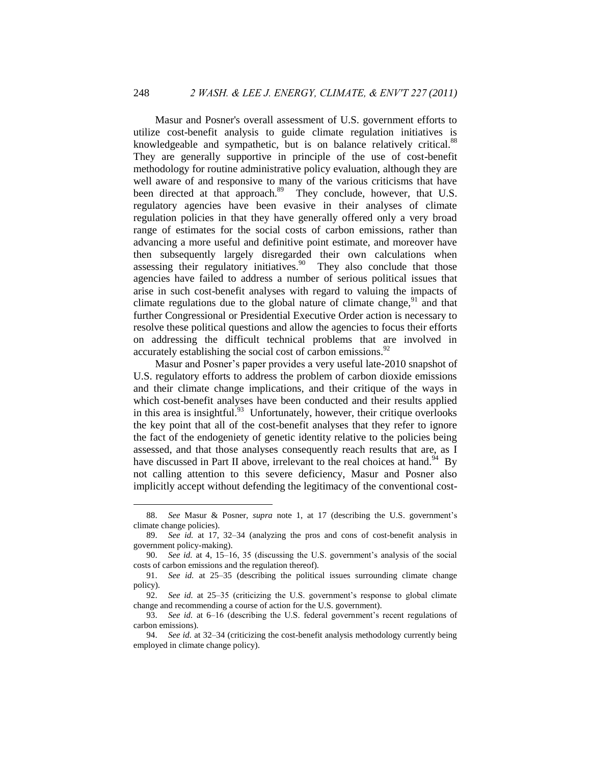Masur and Posner's overall assessment of U.S. government efforts to utilize cost-benefit analysis to guide climate regulation initiatives is knowledgeable and sympathetic, but is on balance relatively critical.<sup>88</sup> They are generally supportive in principle of the use of cost-benefit methodology for routine administrative policy evaluation, although they are well aware of and responsive to many of the various criticisms that have been directed at that approach.<sup>89</sup> They conclude, however, that U.S. regulatory agencies have been evasive in their analyses of climate regulation policies in that they have generally offered only a very broad range of estimates for the social costs of carbon emissions, rather than advancing a more useful and definitive point estimate, and moreover have then subsequently largely disregarded their own calculations when assessing their regulatory initiatives.<sup>90</sup> They also conclude that those agencies have failed to address a number of serious political issues that arise in such cost-benefit analyses with regard to valuing the impacts of climate regulations due to the global nature of climate change,  $91$  and that further Congressional or Presidential Executive Order action is necessary to resolve these political questions and allow the agencies to focus their efforts on addressing the difficult technical problems that are involved in accurately establishing the social cost of carbon emissions. $92$ 

Masur and Posner's paper provides a very useful late-2010 snapshot of U.S. regulatory efforts to address the problem of carbon dioxide emissions and their climate change implications, and their critique of the ways in which cost-benefit analyses have been conducted and their results applied in this area is insightful.<sup>93</sup> Unfortunately, however, their critique overlooks the key point that all of the cost-benefit analyses that they refer to ignore the fact of the endogeniety of genetic identity relative to the policies being assessed, and that those analyses consequently reach results that are, as I have discussed in Part II above, irrelevant to the real choices at hand.<sup>94</sup> By not calling attention to this severe deficiency, Masur and Posner also implicitly accept without defending the legitimacy of the conventional cost-

<sup>88.</sup> *See* Masur & Posner, *supra* note [1,](#page-1-1) at 17 (describing the U.S. government's climate change policies).

<sup>89.</sup> *See id.* at 17, 32–34 (analyzing the pros and cons of cost-benefit analysis in government policy-making).

<sup>90.</sup> *See id.* at 4, 15–16, 35 (discussing the U.S. government's analysis of the social costs of carbon emissions and the regulation thereof).

<sup>91.</sup> *See id.* at 25–35 (describing the political issues surrounding climate change policy).

<sup>92.</sup> *See id.* at 25–35 (criticizing the U.S. government's response to global climate change and recommending a course of action for the U.S. government).

<sup>93.</sup> *See id.* at 6–16 (describing the U.S. federal government's recent regulations of carbon emissions).

<sup>94.</sup> *See id.* at 32–34 (criticizing the cost-benefit analysis methodology currently being employed in climate change policy).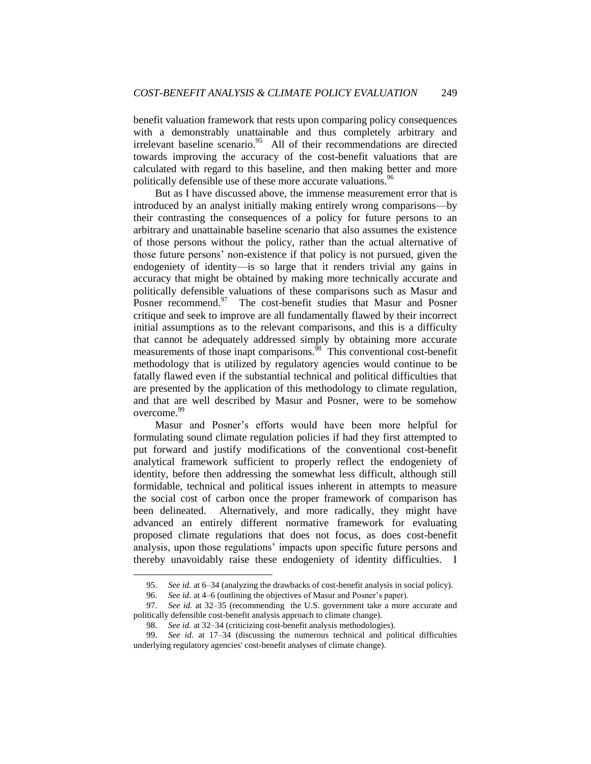benefit valuation framework that rests upon comparing policy consequences with a demonstrably unattainable and thus completely arbitrary and irrelevant baseline scenario.<sup>95</sup> All of their recommendations are directed towards improving the accuracy of the cost-benefit valuations that are calculated with regard to this baseline, and then making better and more politically defensible use of these more accurate valuations.<sup>96</sup>

But as I have discussed above, the immense measurement error that is introduced by an analyst initially making entirely wrong comparisons—by their contrasting the consequences of a policy for future persons to an arbitrary and unattainable baseline scenario that also assumes the existence of those persons without the policy, rather than the actual alternative of those future persons' non-existence if that policy is not pursued, given the endogeniety of identity—is so large that it renders trivial any gains in accuracy that might be obtained by making more technically accurate and politically defensible valuations of these comparisons such as Masur and Posner recommend.<sup>97</sup> The cost-benefit studies that Masur and Posner critique and seek to improve are all fundamentally flawed by their incorrect initial assumptions as to the relevant comparisons, and this is a difficulty that cannot be adequately addressed simply by obtaining more accurate measurements of those inapt comparisons.<sup>98</sup> This conventional cost-benefit methodology that is utilized by regulatory agencies would continue to be fatally flawed even if the substantial technical and political difficulties that are presented by the application of this methodology to climate regulation, and that are well described by Masur and Posner, were to be somehow overcome.<sup>99</sup>

Masur and Posner's efforts would have been more helpful for formulating sound climate regulation policies if had they first attempted to put forward and justify modifications of the conventional cost-benefit analytical framework sufficient to properly reflect the endogeniety of identity, before then addressing the somewhat less difficult, although still formidable, technical and political issues inherent in attempts to measure the social cost of carbon once the proper framework of comparison has been delineated. Alternatively, and more radically, they might have advanced an entirely different normative framework for evaluating proposed climate regulations that does not focus, as does cost-benefit analysis, upon those regulations' impacts upon specific future persons and thereby unavoidably raise these endogeniety of identity difficulties. I

<sup>95.</sup> *See id.* at 6–34 (analyzing the drawbacks of cost-benefit analysis in social policy).

<sup>96.</sup> *See id.* at 4–6 (outlining the objectives of Masur and Posner's paper).

<sup>97.</sup> *See id.* at 32–35 (recommending the U.S. government take a more accurate and politically defensible cost-benefit analysis approach to climate change).

<sup>98.</sup> *See id.* at 32–34 (criticizing cost-benefit analysis methodologies).

<sup>99.</sup> *See id.* at 17–34 (discussing the numerous technical and political difficulties underlying regulatory agencies' cost-benefit analyses of climate change).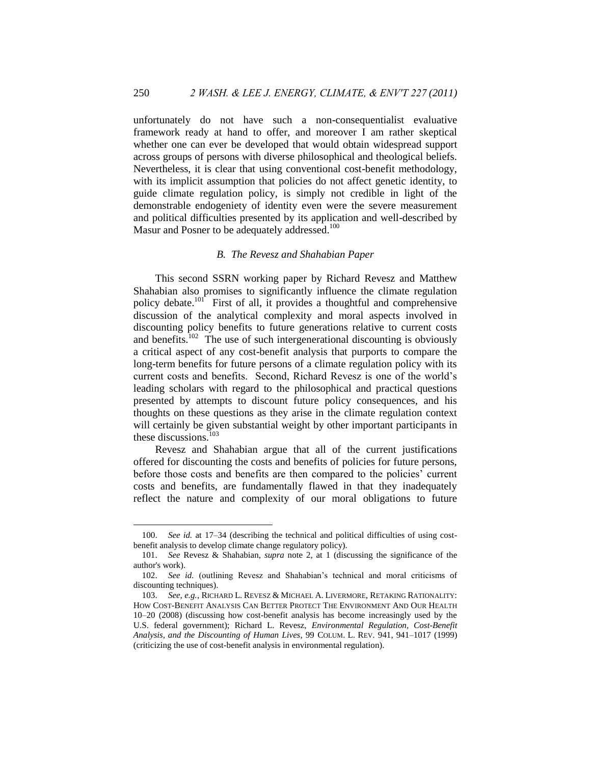unfortunately do not have such a non-consequentialist evaluative framework ready at hand to offer, and moreover I am rather skeptical whether one can ever be developed that would obtain widespread support across groups of persons with diverse philosophical and theological beliefs. Nevertheless, it is clear that using conventional cost-benefit methodology, with its implicit assumption that policies do not affect genetic identity, to guide climate regulation policy, is simply not credible in light of the demonstrable endogeniety of identity even were the severe measurement and political difficulties presented by its application and well-described by Masur and Posner to be adequately addressed.<sup>100</sup>

## *B. The Revesz and Shahabian Paper*

<span id="page-23-0"></span>This second SSRN working paper by Richard Revesz and Matthew Shahabian also promises to significantly influence the climate regulation policy debate.<sup>101</sup> First of all, it provides a thoughtful and comprehensive discussion of the analytical complexity and moral aspects involved in discounting policy benefits to future generations relative to current costs and benefits.<sup>102</sup> The use of such intergenerational discounting is obviously a critical aspect of any cost-benefit analysis that purports to compare the long-term benefits for future persons of a climate regulation policy with its current costs and benefits. Second, Richard Revesz is one of the world's leading scholars with regard to the philosophical and practical questions presented by attempts to discount future policy consequences, and his thoughts on these questions as they arise in the climate regulation context will certainly be given substantial weight by other important participants in these discussions.<sup>103</sup>

Revesz and Shahabian argue that all of the current justifications offered for discounting the costs and benefits of policies for future persons, before those costs and benefits are then compared to the policies' current costs and benefits, are fundamentally flawed in that they inadequately reflect the nature and complexity of our moral obligations to future

<sup>100.</sup> *See id.* at 17–34 (describing the technical and political difficulties of using costbenefit analysis to develop climate change regulatory policy).

<sup>101.</sup> *See* Revesz & Shahabian, *supra* note [2,](#page-1-2) at 1 (discussing the significance of the author's work).

<sup>102.</sup> *See id.* (outlining Revesz and Shahabian's technical and moral criticisms of discounting techniques).

<sup>103.</sup> *See, e.g.*, RICHARD L. REVESZ & MICHAEL A. LIVERMORE, RETAKING RATIONALITY: HOW COST-BENEFIT ANALYSIS CAN BETTER PROTECT THE ENVIRONMENT AND OUR HEALTH 10–20 (2008) (discussing how cost-benefit analysis has become increasingly used by the U.S. federal government); Richard L. Revesz, *Environmental Regulation, Cost-Benefit Analysis, and the Discounting of Human Lives*, 99 COLUM. L. REV. 941, 941–1017 (1999) (criticizing the use of cost-benefit analysis in environmental regulation).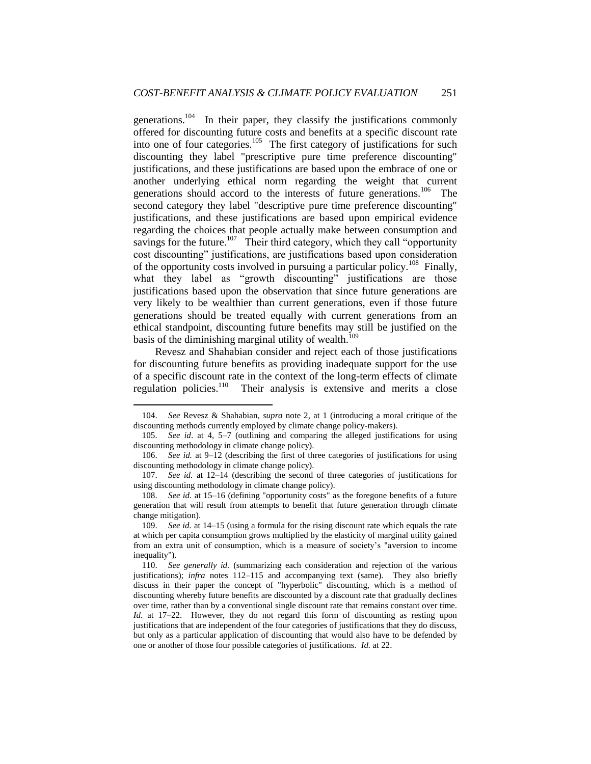<span id="page-24-1"></span><span id="page-24-0"></span>generations.<sup>104</sup> In their paper, they classify the justifications commonly offered for discounting future costs and benefits at a specific discount rate into one of four categories.<sup>105</sup> The first category of justifications for such discounting they label "prescriptive pure time preference discounting" justifications, and these justifications are based upon the embrace of one or another underlying ethical norm regarding the weight that current generations should accord to the interests of future generations.<sup>106</sup> The second category they label "descriptive pure time preference discounting" justifications, and these justifications are based upon empirical evidence regarding the choices that people actually make between consumption and savings for the future.<sup>107</sup> Their third category, which they call "opportunity" cost discounting" justifications, are justifications based upon consideration of the opportunity costs involved in pursuing a particular policy.<sup>108</sup> Finally, what they label as "growth discounting" justifications are those justifications based upon the observation that since future generations are very likely to be wealthier than current generations, even if those future generations should be treated equally with current generations from an ethical standpoint, discounting future benefits may still be justified on the basis of the diminishing marginal utility of wealth.<sup>109</sup>

Revesz and Shahabian consider and reject each of those justifications for discounting future benefits as providing inadequate support for the use of a specific discount rate in the context of the long-term effects of climate regulation policies.<sup>110</sup> Their analysis is extensive and merits a close

<sup>104.</sup> *See* Revesz & Shahabian, *supra* note [2,](#page-1-2) at 1 (introducing a moral critique of the discounting methods currently employed by climate change policy-makers).

<sup>105.</sup> *See id*. at 4, 5–7 (outlining and comparing the alleged justifications for using discounting methodology in climate change policy).

<sup>106.</sup> *See id.* at 9–12 (describing the first of three categories of justifications for using discounting methodology in climate change policy).

<sup>107.</sup> *See id.* at 12–14 (describing the second of three categories of justifications for using discounting methodology in climate change policy).

<sup>108.</sup> *See id.* at 15–16 (defining "opportunity costs" as the foregone benefits of a future generation that will result from attempts to benefit that future generation through climate change mitigation).

<sup>109.</sup> *See id.* at 14–15 (using a formula for the rising discount rate which equals the rate at which per capita consumption grows multiplied by the elasticity of marginal utility gained from an extra unit of consumption, which is a measure of society's "aversion to income inequality").

<sup>110.</sup> *See generally id.* (summarizing each consideration and rejection of the various justifications); *infra* notes [112](#page-25-0)[–115](#page-25-1) and accompanying text (same)*.* They also briefly discuss in their paper the concept of "hyperbolic" discounting, which is a method of discounting whereby future benefits are discounted by a discount rate that gradually declines over time, rather than by a conventional single discount rate that remains constant over time. *Id*. at 17–22. However, they do not regard this form of discounting as resting upon justifications that are independent of the four categories of justifications that they do discuss, but only as a particular application of discounting that would also have to be defended by one or another of those four possible categories of justifications. *Id.* at 22.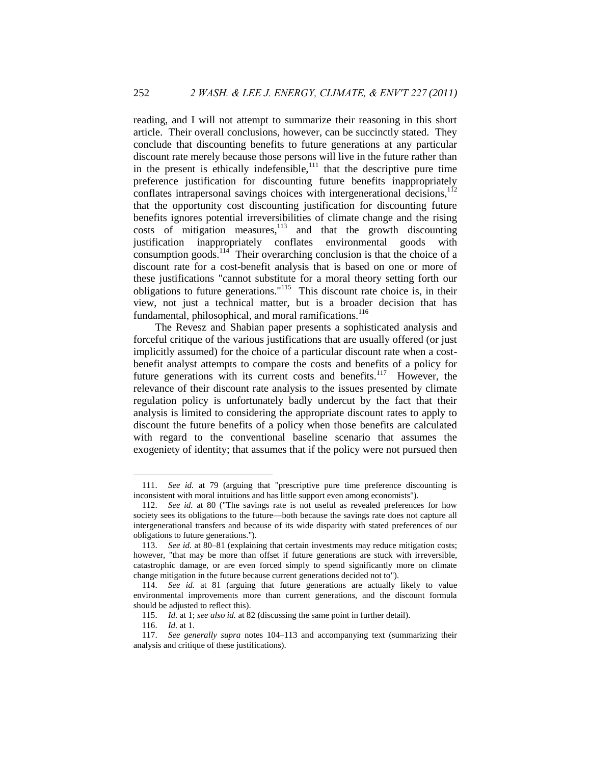<span id="page-25-0"></span>reading, and I will not attempt to summarize their reasoning in this short article. Their overall conclusions, however, can be succinctly stated. They conclude that discounting benefits to future generations at any particular discount rate merely because those persons will live in the future rather than in the present is ethically indefensible, $\frac{1}{11}$  that the descriptive pure time preference justification for discounting future benefits inappropriately conflates intrapersonal savings choices with intergenerational decisions,<sup>112</sup> that the opportunity cost discounting justification for discounting future benefits ignores potential irreversibilities of climate change and the rising costs of mitigation measures, $113$  and that the growth discounting justification inappropriately conflates environmental goods with consumption goods.<sup>114</sup> Their overarching conclusion is that the choice of a discount rate for a cost-benefit analysis that is based on one or more of these justifications "cannot substitute for a moral theory setting forth our obligations to future generations."<sup>115</sup> This discount rate choice is, in their view, not just a technical matter, but is a broader decision that has fundamental, philosophical, and moral ramifications.<sup>116</sup>

<span id="page-25-4"></span><span id="page-25-3"></span><span id="page-25-2"></span><span id="page-25-1"></span>The Revesz and Shabian paper presents a sophisticated analysis and forceful critique of the various justifications that are usually offered (or just implicitly assumed) for the choice of a particular discount rate when a costbenefit analyst attempts to compare the costs and benefits of a policy for future generations with its current costs and benefits.<sup>117</sup> However, the relevance of their discount rate analysis to the issues presented by climate regulation policy is unfortunately badly undercut by the fact that their analysis is limited to considering the appropriate discount rates to apply to discount the future benefits of a policy when those benefits are calculated with regard to the conventional baseline scenario that assumes the exogeniety of identity; that assumes that if the policy were not pursued then

<sup>111.</sup> *See id.* at 79 (arguing that "prescriptive pure time preference discounting is inconsistent with moral intuitions and has little support even among economists").

<sup>112.</sup> *See id.* at 80 ("The savings rate is not useful as revealed preferences for how society sees its obligations to the future—both because the savings rate does not capture all intergenerational transfers and because of its wide disparity with stated preferences of our obligations to future generations.").

<sup>113.</sup> *See id.* at 80–81 (explaining that certain investments may reduce mitigation costs; however, "that may be more than offset if future generations are stuck with irreversible, catastrophic damage, or are even forced simply to spend significantly more on climate change mitigation in the future because current generations decided not to").

<sup>114.</sup> *See id.* at 81 (arguing that future generations are actually likely to value environmental improvements more than current generations, and the discount formula should be adjusted to reflect this).

<sup>115.</sup> *Id.* at 1; *see also id.* at 82 (discussing the same point in further detail).

<sup>116.</sup> *Id.* at 1.

<sup>117.</sup> *See generally supra* notes [104](#page-24-0)[–113](#page-25-2) and accompanying text (summarizing their analysis and critique of these justifications).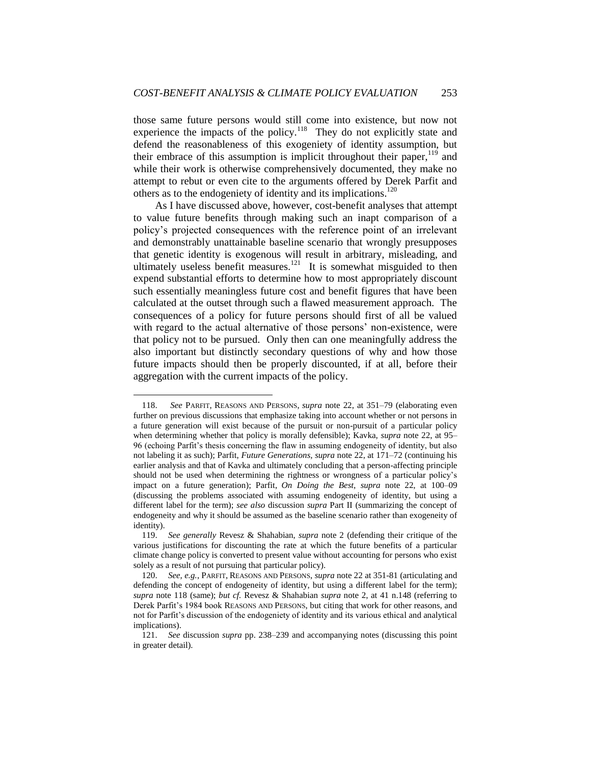<span id="page-26-0"></span>those same future persons would still come into existence, but now not experience the impacts of the policy.<sup>118</sup> They do not explicitly state and defend the reasonableness of this exogeniety of identity assumption, but their embrace of this assumption is implicit throughout their paper,  $119$  and while their work is otherwise comprehensively documented, they make no attempt to rebut or even cite to the arguments offered by Derek Parfit and others as to the endogeniety of identity and its implications.<sup>120</sup>

<span id="page-26-1"></span>As I have discussed above, however, cost-benefit analyses that attempt to value future benefits through making such an inapt comparison of a policy's projected consequences with the reference point of an irrelevant and demonstrably unattainable baseline scenario that wrongly presupposes that genetic identity is exogenous will result in arbitrary, misleading, and ultimately useless benefit measures.<sup>121</sup> It is somewhat misguided to then expend substantial efforts to determine how to most appropriately discount such essentially meaningless future cost and benefit figures that have been calculated at the outset through such a flawed measurement approach. The consequences of a policy for future persons should first of all be valued with regard to the actual alternative of those persons' non-existence, were that policy not to be pursued. Only then can one meaningfully address the also important but distinctly secondary questions of why and how those future impacts should then be properly discounted, if at all, before their aggregation with the current impacts of the policy.

<sup>118.</sup> *See* PARFIT, REASONS AND PERSONS, *supra* note [22,](#page-5-1) at 351–79 (elaborating even further on previous discussions that emphasize taking into account whether or not persons in a future generation will exist because of the pursuit or non-pursuit of a particular policy when determining whether that policy is morally defensible); Kavka, *supra* note [22,](#page-5-1) at 95– 96 (echoing Parfit's thesis concerning the flaw in assuming endogeneity of identity, but also not labeling it as such); Parfit, *Future Generations*, *supra* note [22,](#page-5-1) at 171–72 (continuing his earlier analysis and that of Kavka and ultimately concluding that a person-affecting principle should not be used when determining the rightness or wrongness of a particular policy's impact on a future generation); Parfit, *On Doing the Best*, *supra* note [22,](#page-5-1) at 100–09 (discussing the problems associated with assuming endogeneity of identity, but using a different label for the term); *see also* discussion *supra* Part II (summarizing the concept of endogeneity and why it should be assumed as the baseline scenario rather than exogeneity of identity).

<sup>119.</sup> *See generally* Revesz & Shahabian, *supra* note [2](#page-1-2) (defending their critique of the various justifications for discounting the rate at which the future benefits of a particular climate change policy is converted to present value without accounting for persons who exist solely as a result of not pursuing that particular policy).

<sup>120.</sup> *See, e.g.*, PARFIT, REASONS AND PERSONS, *supra* note [22](#page-5-1) at 351-81 (articulating and defending the concept of endogeneity of identity, but using a different label for the term); *supra* note [118](#page-26-0) (same); *but cf.* Revesz & Shahabian *supra* note [2,](#page-1-2) at 41 n.148 (referring to Derek Parfit's 1984 book REASONS AND PERSONS, but citing that work for other reasons, and not for Parfit's discussion of the endogeniety of identity and its various ethical and analytical implications).

<sup>121.</sup> *See* discussion *supra* pp. [238–](#page-11-1)[239](#page-11-2) and accompanying notes (discussing this point in greater detail).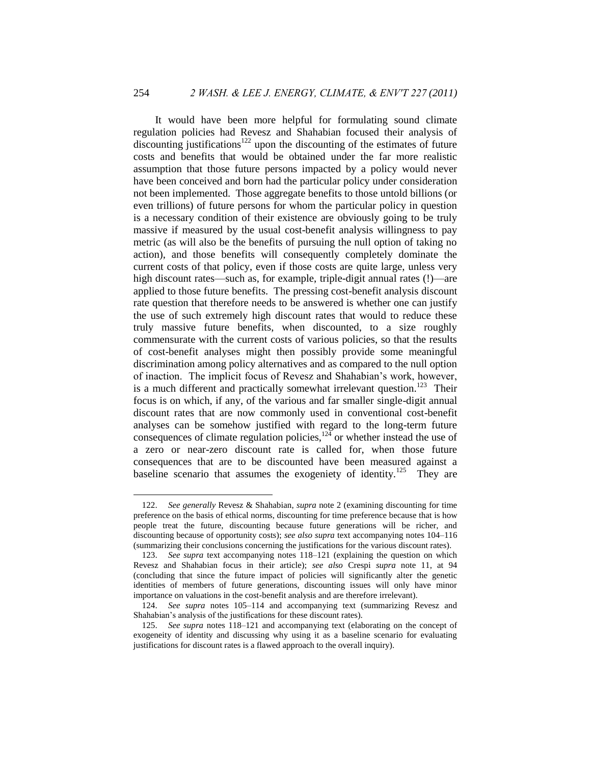<span id="page-27-0"></span>It would have been more helpful for formulating sound climate regulation policies had Revesz and Shahabian focused their analysis of  $discounting$  justifications<sup>122</sup> upon the discounting of the estimates of future costs and benefits that would be obtained under the far more realistic assumption that those future persons impacted by a policy would never have been conceived and born had the particular policy under consideration not been implemented. Those aggregate benefits to those untold billions (or even trillions) of future persons for whom the particular policy in question is a necessary condition of their existence are obviously going to be truly massive if measured by the usual cost-benefit analysis willingness to pay metric (as will also be the benefits of pursuing the null option of taking no action), and those benefits will consequently completely dominate the current costs of that policy, even if those costs are quite large, unless very high discount rates—such as, for example, triple-digit annual rates (!)—are applied to those future benefits. The pressing cost-benefit analysis discount rate question that therefore needs to be answered is whether one can justify the use of such extremely high discount rates that would to reduce these truly massive future benefits, when discounted, to a size roughly commensurate with the current costs of various policies, so that the results of cost-benefit analyses might then possibly provide some meaningful discrimination among policy alternatives and as compared to the null option of inaction. The implicit focus of Revesz and Shahabian's work, however, is a much different and practically somewhat irrelevant question.<sup>123</sup> Their focus is on which, if any, of the various and far smaller single-digit annual discount rates that are now commonly used in conventional cost-benefit analyses can be somehow justified with regard to the long-term future consequences of climate regulation policies, $12<sup>4</sup>$  or whether instead the use of a zero or near-zero discount rate is called for, when those future consequences that are to be discounted have been measured against a baseline scenario that assumes the exogeniety of identity.<sup>125</sup> They are

<sup>122.</sup> *See generally* Revesz & Shahabian, *supra* not[e 2](#page-1-2) (examining discounting for time preference on the basis of ethical norms, discounting for time preference because that is how people treat the future, discounting because future generations will be richer, and discounting because of opportunity costs); *see also supra* text accompanying notes [104](#page-24-0)[–116](#page-25-3) (summarizing their conclusions concerning the justifications for the various discount rates).

<sup>123.</sup> *See supra* text accompanying notes [118](#page-26-0)[–121](#page-26-1) (explaining the question on which Revesz and Shahabian focus in their article); *see also* Crespi *supra* note [11,](#page-3-0) at 94 (concluding that since the future impact of policies will significantly alter the genetic identities of members of future generations, discounting issues will only have minor importance on valuations in the cost-benefit analysis and are therefore irrelevant).

<sup>124.</sup> *See supra* notes [105](#page-24-1)[–114](#page-25-4) and accompanying text (summarizing Revesz and Shahabian's analysis of the justifications for these discount rates).

<sup>125.</sup> *See supra* notes [118](#page-26-0)[–121](#page-26-1) and accompanying text (elaborating on the concept of exogeneity of identity and discussing why using it as a baseline scenario for evaluating justifications for discount rates is a flawed approach to the overall inquiry).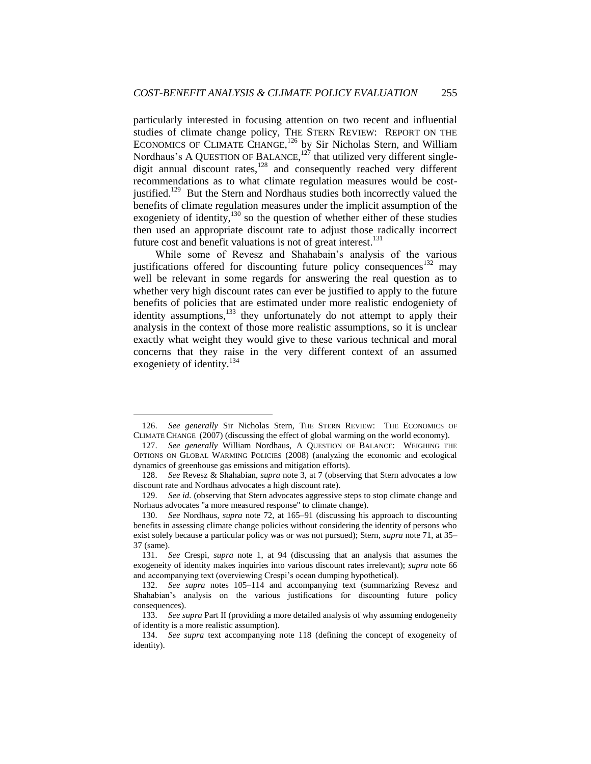particularly interested in focusing attention on two recent and influential studies of climate change policy, THE STERN REVIEW: REPORT ON THE ECONOMICS OF CLIMATE CHANGE,<sup>126</sup> by Sir Nicholas Stern, and William Nordhaus's A QUESTION OF BALANCE, $127$  that utilized very different singledigit annual discount rates, $128$  and consequently reached very different recommendations as to what climate regulation measures would be costjustified.<sup>129</sup> But the Stern and Nordhaus studies both incorrectly valued the benefits of climate regulation measures under the implicit assumption of the exogeniety of identity,<sup>130</sup> so the question of whether either of these studies then used an appropriate discount rate to adjust those radically incorrect future cost and benefit valuations is not of great interest.<sup>131</sup>

While some of Revesz and Shahabain's analysis of the various justifications offered for discounting future policy consequences<sup>132</sup> may well be relevant in some regards for answering the real question as to whether very high discount rates can ever be justified to apply to the future benefits of policies that are estimated under more realistic endogeniety of identity assumptions,<sup>133</sup> they unfortunately do not attempt to apply their analysis in the context of those more realistic assumptions, so it is unclear exactly what weight they would give to these various technical and moral concerns that they raise in the very different context of an assumed exogeniety of identity.<sup>134</sup>

<sup>126.</sup> *See generally* Sir Nicholas Stern, THE STERN REVIEW: THE ECONOMICS OF CLIMATE CHANGE (2007) (discussing the effect of global warming on the world economy).

<sup>127.</sup> *See generally* William Nordhaus, A QUESTION OF BALANCE: WEIGHING THE OPTIONS ON GLOBAL WARMING POLICIES (2008) (analyzing the economic and ecological dynamics of greenhouse gas emissions and mitigation efforts).

<sup>128.</sup> *See* Revesz & Shahabian, *supra* note 3, at 7 (observing that Stern advocates a low discount rate and Nordhaus advocates a high discount rate).

<sup>129.</sup> *See id.* (observing that Stern advocates aggressive steps to stop climate change and Norhaus advocates "a more measured response" to climate change).

<sup>130.</sup> *See* Nordhaus, *supra* note 72, at 165–91 (discussing his approach to discounting benefits in assessing climate change policies without considering the identity of persons who exist solely because a particular policy was or was not pursued); Stern, *supra* note 71, at 35– 37 (same).

<sup>131.</sup> *See* Crespi, *supra* note 1, at 94 (discussing that an analysis that assumes the exogeneity of identity makes inquiries into various discount rates irrelevant); *supra* note 66 and accompanying text (overviewing Crespi's ocean dumping hypothetical).

<sup>132.</sup> *See supra* notes [105](#page-24-1)[–114](#page-25-4) and accompanying text (summarizing Revesz and Shahabian's analysis on the various justifications for discounting future policy consequences).

<sup>133.</sup> *See supra* Part II (providing a more detailed analysis of why assuming endogeneity of identity is a more realistic assumption).

<sup>134.</sup> *See supra* text accompanying note [118](#page-26-0) (defining the concept of exogeneity of identity).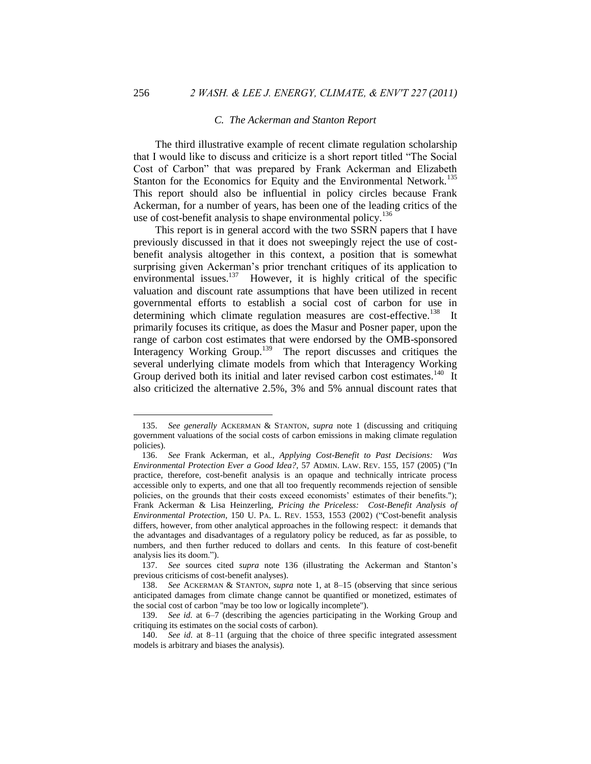### <span id="page-29-1"></span>*C. The Ackerman and Stanton Report*

<span id="page-29-0"></span>The third illustrative example of recent climate regulation scholarship that I would like to discuss and criticize is a short report titled "The Social" Cost of Carbon" that was prepared by Frank Ackerman and Elizabeth Stanton for the Economics for Equity and the Environmental Network.<sup>135</sup> This report should also be influential in policy circles because Frank Ackerman, for a number of years, has been one of the leading critics of the use of cost-benefit analysis to shape environmental policy.<sup>136</sup>

This report is in general accord with the two SSRN papers that I have previously discussed in that it does not sweepingly reject the use of costbenefit analysis altogether in this context, a position that is somewhat surprising given Ackerman's prior trenchant critiques of its application to environmental issues. $137$  However, it is highly critical of the specific valuation and discount rate assumptions that have been utilized in recent governmental efforts to establish a social cost of carbon for use in determining which climate regulation measures are cost-effective.<sup>138</sup> It primarily focuses its critique, as does the Masur and Posner paper, upon the range of carbon cost estimates that were endorsed by the OMB-sponsored Interagency Working Group.<sup>139</sup> The report discusses and critiques the several underlying climate models from which that Interagency Working Group derived both its initial and later revised carbon cost estimates.<sup>140</sup> It also criticized the alternative 2.5%, 3% and 5% annual discount rates that

<sup>135.</sup> *See generally* ACKERMAN & STANTON, *supra* note [1](#page-1-1) (discussing and critiquing government valuations of the social costs of carbon emissions in making climate regulation policies).

<sup>136.</sup> *See* Frank Ackerman, et al., *Applying Cost-Benefit to Past Decisions: Was Environmental Protection Ever a Good Idea?*, 57 ADMIN. LAW. REV. 155, 157 (2005) ("In practice, therefore, cost-benefit analysis is an opaque and technically intricate process accessible only to experts, and one that all too frequently recommends rejection of sensible policies, on the grounds that their costs exceed economists' estimates of their benefits."); Frank Ackerman & Lisa Heinzerling, *Pricing the Priceless: Cost-Benefit Analysis of Environmental Protection*, 150 U. PA. L. REV. 1553, 1553 (2002) ("Cost-benefit analysis differs, however, from other analytical approaches in the following respect: it demands that the advantages and disadvantages of a regulatory policy be reduced, as far as possible, to numbers, and then further reduced to dollars and cents. In this feature of cost-benefit analysis lies its doom.").

<sup>137.</sup> *See* sources cited *supra* note [136](#page-29-1) (illustrating the Ackerman and Stanton's previous criticisms of cost-benefit analyses).

<sup>138.</sup> *See* ACKERMAN & STANTON, *supra* note [1,](#page-1-1) at 8–15 (observing that since serious anticipated damages from climate change cannot be quantified or monetized, estimates of the social cost of carbon "may be too low or logically incomplete").

<sup>139.</sup> *See id.* at 6–7 (describing the agencies participating in the Working Group and critiquing its estimates on the social costs of carbon).

<sup>140.</sup> *See id.* at 8–11 (arguing that the choice of three specific integrated assessment models is arbitrary and biases the analysis).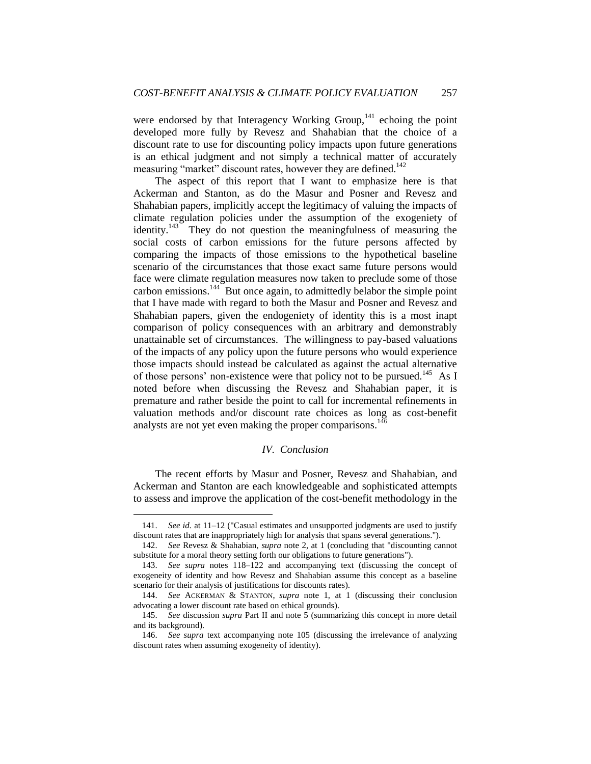were endorsed by that Interagency Working Group,<sup>141</sup> echoing the point developed more fully by Revesz and Shahabian that the choice of a discount rate to use for discounting policy impacts upon future generations is an ethical judgment and not simply a technical matter of accurately measuring "market" discount rates, however they are defined.<sup>142</sup>

The aspect of this report that I want to emphasize here is that Ackerman and Stanton, as do the Masur and Posner and Revesz and Shahabian papers, implicitly accept the legitimacy of valuing the impacts of climate regulation policies under the assumption of the exogeniety of identity.<sup>143</sup> They do not question the meaningfulness of measuring the social costs of carbon emissions for the future persons affected by comparing the impacts of those emissions to the hypothetical baseline scenario of the circumstances that those exact same future persons would face were climate regulation measures now taken to preclude some of those carbon emissions. $144$  But once again, to admittedly belabor the simple point that I have made with regard to both the Masur and Posner and Revesz and Shahabian papers, given the endogeniety of identity this is a most inapt comparison of policy consequences with an arbitrary and demonstrably unattainable set of circumstances. The willingness to pay-based valuations of the impacts of any policy upon the future persons who would experience those impacts should instead be calculated as against the actual alternative of those persons' non-existence were that policy not to be pursued.<sup>145</sup> As I noted before when discussing the Revesz and Shahabian paper, it is premature and rather beside the point to call for incremental refinements in valuation methods and/or discount rate choices as long as cost-benefit analysts are not yet even making the proper comparisons.<sup>146</sup>

## *IV. Conclusion*

<span id="page-30-0"></span>The recent efforts by Masur and Posner, Revesz and Shahabian, and Ackerman and Stanton are each knowledgeable and sophisticated attempts to assess and improve the application of the cost-benefit methodology in the

<sup>141.</sup> *See id.* at 11–12 ("Casual estimates and unsupported judgments are used to justify discount rates that are inappropriately high for analysis that spans several generations.").

<sup>142.</sup> *See* Revesz & Shahabian, *supra* not[e 2,](#page-1-2) at 1 (concluding that "discounting cannot substitute for a moral theory setting forth our obligations to future generations").

<sup>143.</sup> *See supra* notes [118](#page-26-0)[–122](#page-27-0) and accompanying text (discussing the concept of exogeneity of identity and how Revesz and Shahabian assume this concept as a baseline scenario for their analysis of justifications for discounts rates).

<sup>144.</sup> *See* ACKERMAN & STANTON, *supra* note 1, at 1 (discussing their conclusion advocating a lower discount rate based on ethical grounds).

<sup>145.</sup> *See* discussion *supra* Part II and note 5 (summarizing this concept in more detail and its background).

<sup>146.</sup> *See supra* text accompanying note [105](#page-24-1) (discussing the irrelevance of analyzing discount rates when assuming exogeneity of identity).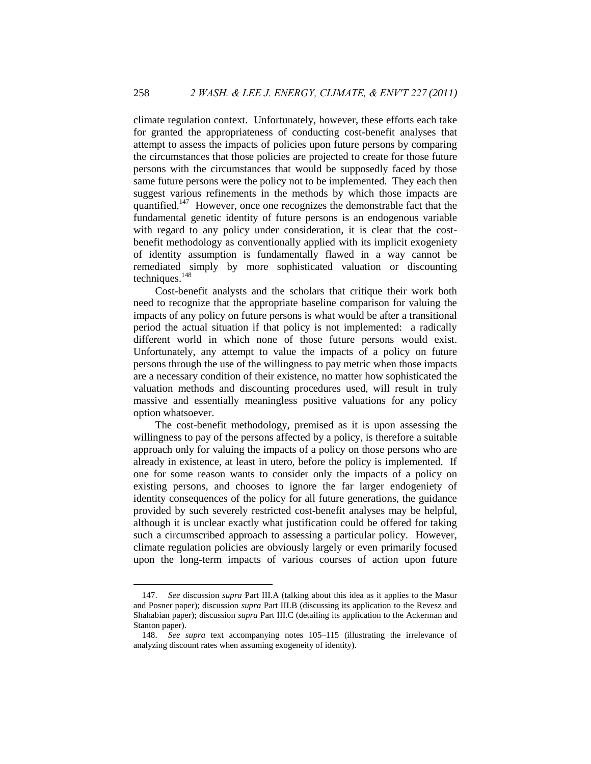climate regulation context. Unfortunately, however, these efforts each take for granted the appropriateness of conducting cost-benefit analyses that attempt to assess the impacts of policies upon future persons by comparing the circumstances that those policies are projected to create for those future persons with the circumstances that would be supposedly faced by those same future persons were the policy not to be implemented. They each then suggest various refinements in the methods by which those impacts are quantified.<sup>147</sup> However, once one recognizes the demonstrable fact that the fundamental genetic identity of future persons is an endogenous variable with regard to any policy under consideration, it is clear that the costbenefit methodology as conventionally applied with its implicit exogeniety of identity assumption is fundamentally flawed in a way cannot be remediated simply by more sophisticated valuation or discounting techniques. $148$ 

Cost-benefit analysts and the scholars that critique their work both need to recognize that the appropriate baseline comparison for valuing the impacts of any policy on future persons is what would be after a transitional period the actual situation if that policy is not implemented: a radically different world in which none of those future persons would exist. Unfortunately, any attempt to value the impacts of a policy on future persons through the use of the willingness to pay metric when those impacts are a necessary condition of their existence, no matter how sophisticated the valuation methods and discounting procedures used, will result in truly massive and essentially meaningless positive valuations for any policy option whatsoever.

The cost-benefit methodology, premised as it is upon assessing the willingness to pay of the persons affected by a policy, is therefore a suitable approach only for valuing the impacts of a policy on those persons who are already in existence, at least in utero, before the policy is implemented. If one for some reason wants to consider only the impacts of a policy on existing persons, and chooses to ignore the far larger endogeniety of identity consequences of the policy for all future generations, the guidance provided by such severely restricted cost-benefit analyses may be helpful, although it is unclear exactly what justification could be offered for taking such a circumscribed approach to assessing a particular policy. However, climate regulation policies are obviously largely or even primarily focused upon the long-term impacts of various courses of action upon future

<sup>147.</sup> *See* discussion *supra* Part III.A (talking about this idea as it applies to the Masur and Posner paper); discussion *supra* Part III.B (discussing its application to the Revesz and Shahabian paper); discussion *supra* Part III.C (detailing its application to the Ackerman and Stanton paper).

<sup>148.</sup> *See supra* text accompanying notes [105–](#page-24-1)[115](#page-25-1) (illustrating the irrelevance of analyzing discount rates when assuming exogeneity of identity).